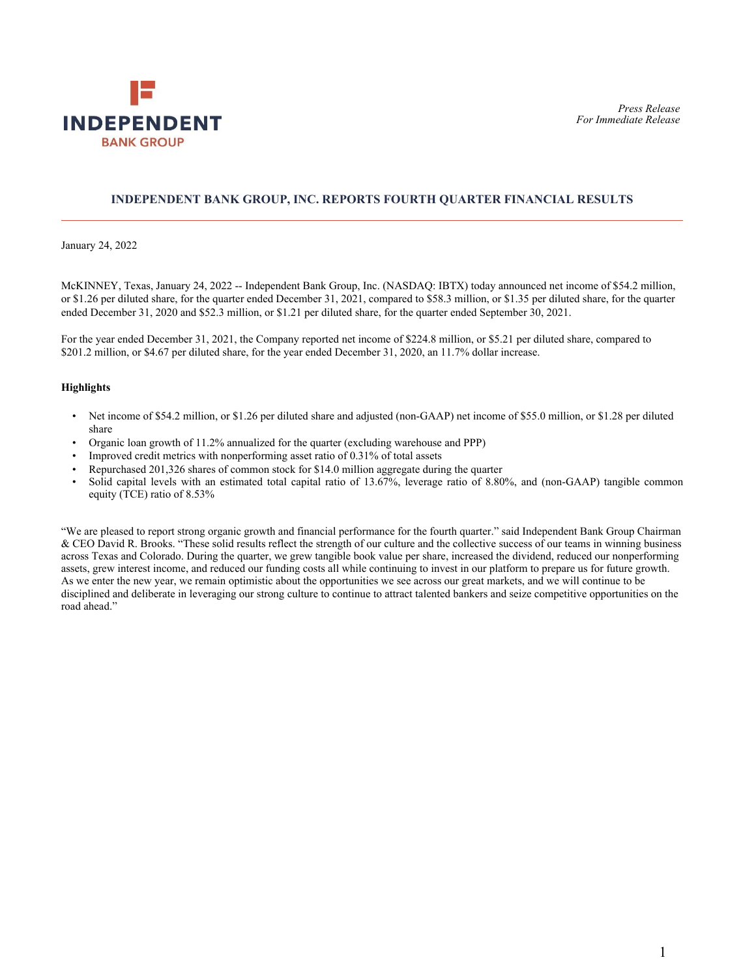

## **INDEPENDENT BANK GROUP, INC. REPORTS FOURTH QUARTER FINANCIAL RESULTS**

January 24, 2022

McKINNEY, Texas, January 24, 2022 -- Independent Bank Group, Inc. (NASDAQ: IBTX) today announced net income of \$54.2 million, or \$1.26 per diluted share, for the quarter ended December 31, 2021, compared to \$58.3 million, or \$1.35 per diluted share, for the quarter ended December 31, 2020 and \$52.3 million, or \$1.21 per diluted share, for the quarter ended September 30, 2021.

For the year ended December 31, 2021, the Company reported net income of \$224.8 million, or \$5.21 per diluted share, compared to \$201.2 million, or \$4.67 per diluted share, for the year ended December 31, 2020, an 11.7% dollar increase.

#### **Highlights**

- Net income of \$54.2 million, or \$1.26 per diluted share and adjusted (non-GAAP) net income of \$55.0 million, or \$1.28 per diluted share
- Organic loan growth of 11.2% annualized for the quarter (excluding warehouse and PPP)
- Improved credit metrics with nonperforming asset ratio of 0.31% of total assets
- Repurchased 201,326 shares of common stock for \$14.0 million aggregate during the quarter
- Solid capital levels with an estimated total capital ratio of 13.67%, leverage ratio of 8.80%, and (non-GAAP) tangible common equity (TCE) ratio of 8.53%

"We are pleased to report strong organic growth and financial performance for the fourth quarter." said Independent Bank Group Chairman & CEO David R. Brooks. "These solid results reflect the strength of our culture and the collective success of our teams in winning business across Texas and Colorado. During the quarter, we grew tangible book value per share, increased the dividend, reduced our nonperforming assets, grew interest income, and reduced our funding costs all while continuing to invest in our platform to prepare us for future growth. As we enter the new year, we remain optimistic about the opportunities we see across our great markets, and we will continue to be disciplined and deliberate in leveraging our strong culture to continue to attract talented bankers and seize competitive opportunities on the road ahead."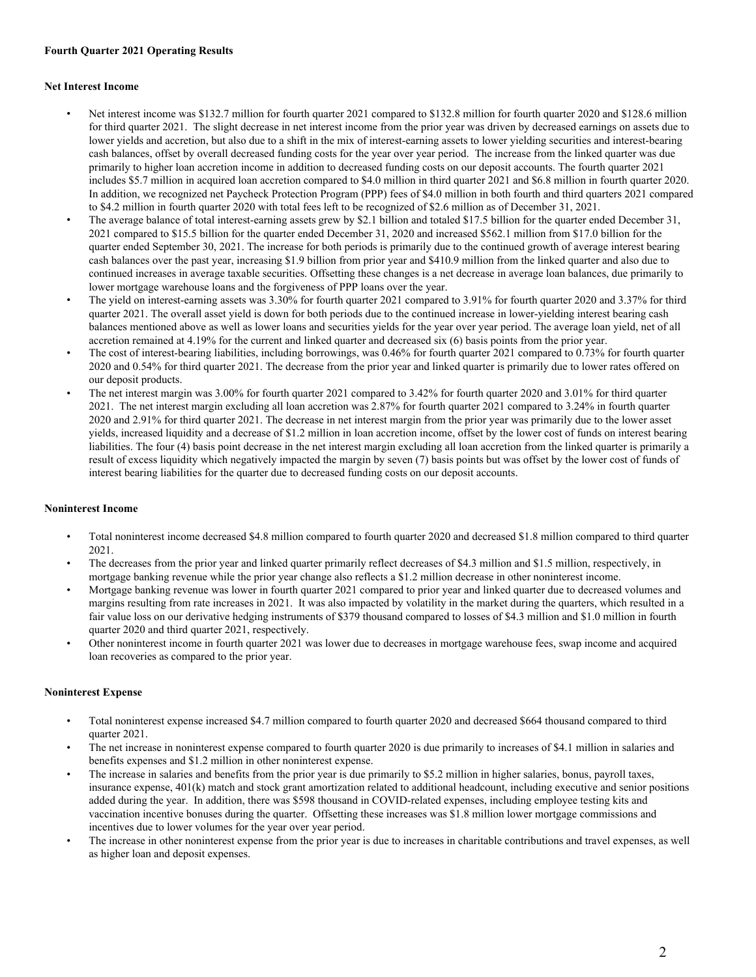#### **Fourth Quarter 2021 Operating Results**

#### **Net Interest Income**

- Net interest income was \$132.7 million for fourth quarter 2021 compared to \$132.8 million for fourth quarter 2020 and \$128.6 million for third quarter 2021. The slight decrease in net interest income from the prior year was driven by decreased earnings on assets due to lower yields and accretion, but also due to a shift in the mix of interest-earning assets to lower yielding securities and interest-bearing cash balances, offset by overall decreased funding costs for the year over year period. The increase from the linked quarter was due primarily to higher loan accretion income in addition to decreased funding costs on our deposit accounts. The fourth quarter 2021 includes \$5.7 million in acquired loan accretion compared to \$4.0 million in third quarter 2021 and \$6.8 million in fourth quarter 2020. In addition, we recognized net Paycheck Protection Program (PPP) fees of \$4.0 million in both fourth and third quarters 2021 compared to \$4.2 million in fourth quarter 2020 with total fees left to be recognized of \$2.6 million as of December 31, 2021.
- The average balance of total interest-earning assets grew by \$2.1 billion and totaled \$17.5 billion for the quarter ended December 31, 2021 compared to \$15.5 billion for the quarter ended December 31, 2020 and increased \$562.1 million from \$17.0 billion for the quarter ended September 30, 2021. The increase for both periods is primarily due to the continued growth of average interest bearing cash balances over the past year, increasing \$1.9 billion from prior year and \$410.9 million from the linked quarter and also due to continued increases in average taxable securities. Offsetting these changes is a net decrease in average loan balances, due primarily to lower mortgage warehouse loans and the forgiveness of PPP loans over the year.
- The yield on interest-earning assets was 3.30% for fourth quarter 2021 compared to 3.91% for fourth quarter 2020 and 3.37% for third quarter 2021. The overall asset yield is down for both periods due to the continued increase in lower-yielding interest bearing cash balances mentioned above as well as lower loans and securities yields for the year over year period. The average loan yield, net of all accretion remained at 4.19% for the current and linked quarter and decreased six (6) basis points from the prior year.
- The cost of interest-bearing liabilities, including borrowings, was 0.46% for fourth quarter 2021 compared to 0.73% for fourth quarter 2020 and 0.54% for third quarter 2021. The decrease from the prior year and linked quarter is primarily due to lower rates offered on our deposit products.
- The net interest margin was 3.00% for fourth quarter 2021 compared to 3.42% for fourth quarter 2020 and 3.01% for third quarter 2021. The net interest margin excluding all loan accretion was 2.87% for fourth quarter 2021 compared to 3.24% in fourth quarter 2020 and 2.91% for third quarter 2021. The decrease in net interest margin from the prior year was primarily due to the lower asset yields, increased liquidity and a decrease of \$1.2 million in loan accretion income, offset by the lower cost of funds on interest bearing liabilities. The four (4) basis point decrease in the net interest margin excluding all loan accretion from the linked quarter is primarily a result of excess liquidity which negatively impacted the margin by seven (7) basis points but was offset by the lower cost of funds of interest bearing liabilities for the quarter due to decreased funding costs on our deposit accounts.

## **Noninterest Income**

- Total noninterest income decreased \$4.8 million compared to fourth quarter 2020 and decreased \$1.8 million compared to third quarter 2021.
- The decreases from the prior year and linked quarter primarily reflect decreases of \$4.3 million and \$1.5 million, respectively, in mortgage banking revenue while the prior year change also reflects a \$1.2 million decrease in other noninterest income.
- Mortgage banking revenue was lower in fourth quarter 2021 compared to prior year and linked quarter due to decreased volumes and margins resulting from rate increases in 2021. It was also impacted by volatility in the market during the quarters, which resulted in a fair value loss on our derivative hedging instruments of \$379 thousand compared to losses of \$4.3 million and \$1.0 million in fourth quarter 2020 and third quarter 2021, respectively.
- Other noninterest income in fourth quarter 2021 was lower due to decreases in mortgage warehouse fees, swap income and acquired loan recoveries as compared to the prior year.

## **Noninterest Expense**

- Total noninterest expense increased \$4.7 million compared to fourth quarter 2020 and decreased \$664 thousand compared to third quarter 2021.
- The net increase in noninterest expense compared to fourth quarter 2020 is due primarily to increases of \$4.1 million in salaries and benefits expenses and \$1.2 million in other noninterest expense.
- The increase in salaries and benefits from the prior year is due primarily to \$5.2 million in higher salaries, bonus, payroll taxes, insurance expense, 401(k) match and stock grant amortization related to additional headcount, including executive and senior positions added during the year. In addition, there was \$598 thousand in COVID-related expenses, including employee testing kits and vaccination incentive bonuses during the quarter. Offsetting these increases was \$1.8 million lower mortgage commissions and incentives due to lower volumes for the year over year period.
- The increase in other noninterest expense from the prior year is due to increases in charitable contributions and travel expenses, as well as higher loan and deposit expenses.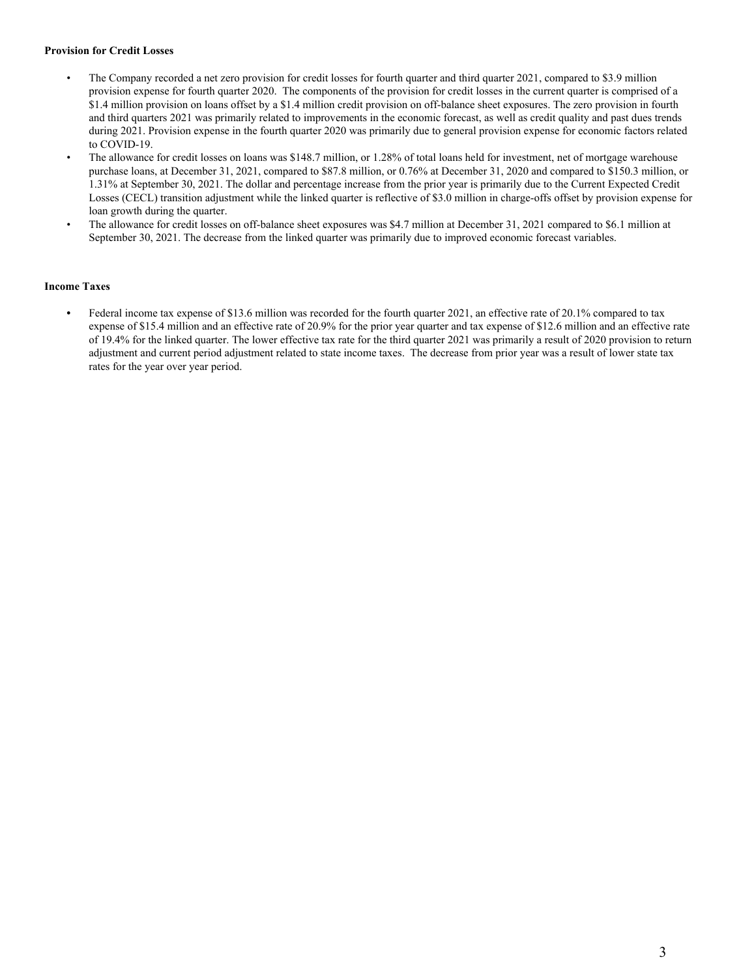## **Provision for Credit Losses**

- The Company recorded a net zero provision for credit losses for fourth quarter and third quarter 2021, compared to \$3.9 million provision expense for fourth quarter 2020. The components of the provision for credit losses in the current quarter is comprised of a \$1.4 million provision on loans offset by a \$1.4 million credit provision on off-balance sheet exposures. The zero provision in fourth and third quarters 2021 was primarily related to improvements in the economic forecast, as well as credit quality and past dues trends during 2021. Provision expense in the fourth quarter 2020 was primarily due to general provision expense for economic factors related to COVID-19.
- The allowance for credit losses on loans was \$148.7 million, or 1.28% of total loans held for investment, net of mortgage warehouse purchase loans, at December 31, 2021, compared to \$87.8 million, or 0.76% at December 31, 2020 and compared to \$150.3 million, or 1.31% at September 30, 2021. The dollar and percentage increase from the prior year is primarily due to the Current Expected Credit Losses (CECL) transition adjustment while the linked quarter is reflective of \$3.0 million in charge-offs offset by provision expense for loan growth during the quarter.
- The allowance for credit losses on off-balance sheet exposures was \$4.7 million at December 31, 2021 compared to \$6.1 million at September 30, 2021. The decrease from the linked quarter was primarily due to improved economic forecast variables.

## **Income Taxes**

**•** Federal income tax expense of \$13.6 million was recorded for the fourth quarter 2021, an effective rate of 20.1% compared to tax expense of \$15.4 million and an effective rate of 20.9% for the prior year quarter and tax expense of \$12.6 million and an effective rate of 19.4% for the linked quarter. The lower effective tax rate for the third quarter 2021 was primarily a result of 2020 provision to return adjustment and current period adjustment related to state income taxes. The decrease from prior year was a result of lower state tax rates for the year over year period.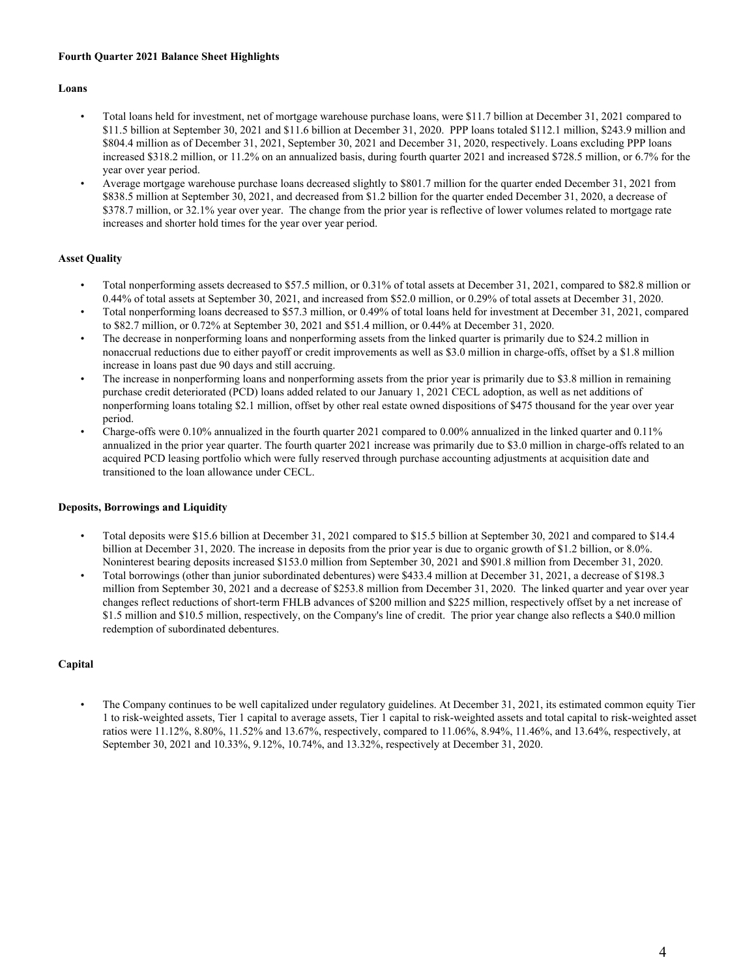## **Fourth Quarter 2021 Balance Sheet Highlights**

### **Loans**

- Total loans held for investment, net of mortgage warehouse purchase loans, were \$11.7 billion at December 31, 2021 compared to \$11.5 billion at September 30, 2021 and \$11.6 billion at December 31, 2020. PPP loans totaled \$112.1 million, \$243.9 million and \$804.4 million as of December 31, 2021, September 30, 2021 and December 31, 2020, respectively. Loans excluding PPP loans increased \$318.2 million, or 11.2% on an annualized basis, during fourth quarter 2021 and increased \$728.5 million, or 6.7% for the year over year period.
- Average mortgage warehouse purchase loans decreased slightly to \$801.7 million for the quarter ended December 31, 2021 from \$838.5 million at September 30, 2021, and decreased from \$1.2 billion for the quarter ended December 31, 2020, a decrease of \$378.7 million, or 32.1% year over year. The change from the prior year is reflective of lower volumes related to mortgage rate increases and shorter hold times for the year over year period.

## **Asset Quality**

- Total nonperforming assets decreased to \$57.5 million, or 0.31% of total assets at December 31, 2021, compared to \$82.8 million or 0.44% of total assets at September 30, 2021, and increased from \$52.0 million, or 0.29% of total assets at December 31, 2020.
- Total nonperforming loans decreased to \$57.3 million, or 0.49% of total loans held for investment at December 31, 2021, compared to \$82.7 million, or 0.72% at September 30, 2021 and \$51.4 million, or 0.44% at December 31, 2020.
- The decrease in nonperforming loans and nonperforming assets from the linked quarter is primarily due to \$24.2 million in nonaccrual reductions due to either payoff or credit improvements as well as \$3.0 million in charge-offs, offset by a \$1.8 million increase in loans past due 90 days and still accruing.
- The increase in nonperforming loans and nonperforming assets from the prior year is primarily due to \$3.8 million in remaining purchase credit deteriorated (PCD) loans added related to our January 1, 2021 CECL adoption, as well as net additions of nonperforming loans totaling \$2.1 million, offset by other real estate owned dispositions of \$475 thousand for the year over year period.
- Charge-offs were 0.10% annualized in the fourth quarter 2021 compared to 0.00% annualized in the linked quarter and 0.11% annualized in the prior year quarter. The fourth quarter 2021 increase was primarily due to \$3.0 million in charge-offs related to an acquired PCD leasing portfolio which were fully reserved through purchase accounting adjustments at acquisition date and transitioned to the loan allowance under CECL.

## **Deposits, Borrowings and Liquidity**

- Total deposits were \$15.6 billion at December 31, 2021 compared to \$15.5 billion at September 30, 2021 and compared to \$14.4 billion at December 31, 2020. The increase in deposits from the prior year is due to organic growth of \$1.2 billion, or 8.0%. Noninterest bearing deposits increased \$153.0 million from September 30, 2021 and \$901.8 million from December 31, 2020.
- Total borrowings (other than junior subordinated debentures) were \$433.4 million at December 31, 2021, a decrease of \$198.3 million from September 30, 2021 and a decrease of \$253.8 million from December 31, 2020. The linked quarter and year over year changes reflect reductions of short-term FHLB advances of \$200 million and \$225 million, respectively offset by a net increase of \$1.5 million and \$10.5 million, respectively, on the Company's line of credit. The prior year change also reflects a \$40.0 million redemption of subordinated debentures.

## **Capital**

• The Company continues to be well capitalized under regulatory guidelines. At December 31, 2021, its estimated common equity Tier 1 to risk-weighted assets, Tier 1 capital to average assets, Tier 1 capital to risk-weighted assets and total capital to risk-weighted asset ratios were 11.12%, 8.80%, 11.52% and 13.67%, respectively, compared to 11.06%, 8.94%, 11.46%, and 13.64%, respectively, at September 30, 2021 and 10.33%, 9.12%, 10.74%, and 13.32%, respectively at December 31, 2020.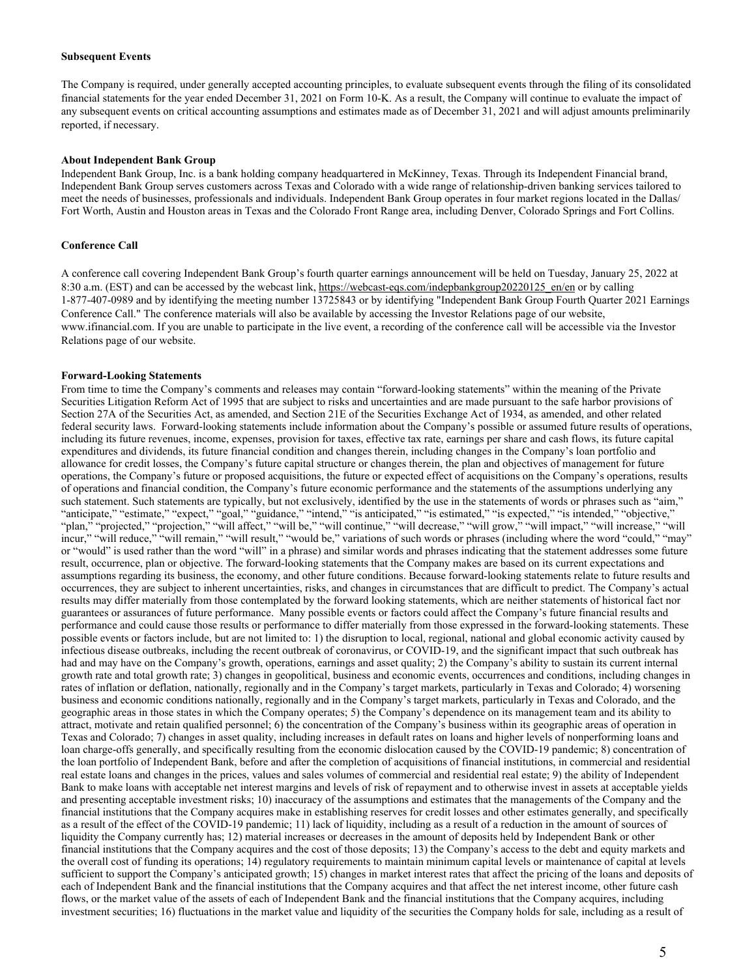#### **Subsequent Events**

The Company is required, under generally accepted accounting principles, to evaluate subsequent events through the filing of its consolidated financial statements for the year ended December 31, 2021 on Form 10-K. As a result, the Company will continue to evaluate the impact of any subsequent events on critical accounting assumptions and estimates made as of December 31, 2021 and will adjust amounts preliminarily reported, if necessary.

#### **About Independent Bank Group**

Independent Bank Group, Inc. is a bank holding company headquartered in McKinney, Texas. Through its Independent Financial brand, Independent Bank Group serves customers across Texas and Colorado with a wide range of relationship-driven banking services tailored to meet the needs of businesses, professionals and individuals. Independent Bank Group operates in four market regions located in the Dallas/ Fort Worth, Austin and Houston areas in Texas and the Colorado Front Range area, including Denver, Colorado Springs and Fort Collins.

#### **Conference Call**

A conference call covering Independent Bank Group's fourth quarter earnings announcement will be held on Tuesday, January 25, 2022 at 8:30 a.m. (EST) and can be accessed by the webcast link, https://webcast-eqs.com/indepbankgroup20220125\_en/en or by calling 1-877-407-0989 and by identifying the meeting number 13725843 or by identifying "Independent Bank Group Fourth Quarter 2021 Earnings Conference Call." The conference materials will also be available by accessing the Investor Relations page of our website, www.ifinancial.com. If you are unable to participate in the live event, a recording of the conference call will be accessible via the Investor Relations page of our website.

#### **Forward-Looking Statements**

From time to time the Company's comments and releases may contain "forward-looking statements" within the meaning of the Private Securities Litigation Reform Act of 1995 that are subject to risks and uncertainties and are made pursuant to the safe harbor provisions of Section 27A of the Securities Act, as amended, and Section 21E of the Securities Exchange Act of 1934, as amended, and other related federal security laws. Forward-looking statements include information about the Company's possible or assumed future results of operations, including its future revenues, income, expenses, provision for taxes, effective tax rate, earnings per share and cash flows, its future capital expenditures and dividends, its future financial condition and changes therein, including changes in the Company's loan portfolio and allowance for credit losses, the Company's future capital structure or changes therein, the plan and objectives of management for future operations, the Company's future or proposed acquisitions, the future or expected effect of acquisitions on the Company's operations, results of operations and financial condition, the Company's future economic performance and the statements of the assumptions underlying any such statement. Such statements are typically, but not exclusively, identified by the use in the statements of words or phrases such as "aim," "anticipate," "estimate," "expect," "goal," "guidance," "intend," "is anticipated," "is estimated," "is expected," "is intended," "objective," "plan," "projected," "projection," "will affect," "will be," "will continue," "will decrease," "will grow," "will impact," "will increase," "will incur," "will reduce," "will remain," "will result," "would be," variations of such words or phrases (including where the word "could," "may" or "would" is used rather than the word "will" in a phrase) and similar words and phrases indicating that the statement addresses some future result, occurrence, plan or objective. The forward-looking statements that the Company makes are based on its current expectations and assumptions regarding its business, the economy, and other future conditions. Because forward-looking statements relate to future results and occurrences, they are subject to inherent uncertainties, risks, and changes in circumstances that are difficult to predict. The Company's actual results may differ materially from those contemplated by the forward looking statements, which are neither statements of historical fact nor guarantees or assurances of future performance. Many possible events or factors could affect the Company's future financial results and performance and could cause those results or performance to differ materially from those expressed in the forward-looking statements. These possible events or factors include, but are not limited to: 1) the disruption to local, regional, national and global economic activity caused by infectious disease outbreaks, including the recent outbreak of coronavirus, or COVID-19, and the significant impact that such outbreak has had and may have on the Company's growth, operations, earnings and asset quality; 2) the Company's ability to sustain its current internal growth rate and total growth rate; 3) changes in geopolitical, business and economic events, occurrences and conditions, including changes in rates of inflation or deflation, nationally, regionally and in the Company's target markets, particularly in Texas and Colorado; 4) worsening business and economic conditions nationally, regionally and in the Company's target markets, particularly in Texas and Colorado, and the geographic areas in those states in which the Company operates; 5) the Company's dependence on its management team and its ability to attract, motivate and retain qualified personnel; 6) the concentration of the Company's business within its geographic areas of operation in Texas and Colorado; 7) changes in asset quality, including increases in default rates on loans and higher levels of nonperforming loans and loan charge-offs generally, and specifically resulting from the economic dislocation caused by the COVID-19 pandemic; 8) concentration of the loan portfolio of Independent Bank, before and after the completion of acquisitions of financial institutions, in commercial and residential real estate loans and changes in the prices, values and sales volumes of commercial and residential real estate; 9) the ability of Independent Bank to make loans with acceptable net interest margins and levels of risk of repayment and to otherwise invest in assets at acceptable yields and presenting acceptable investment risks; 10) inaccuracy of the assumptions and estimates that the managements of the Company and the financial institutions that the Company acquires make in establishing reserves for credit losses and other estimates generally, and specifically as a result of the effect of the COVID-19 pandemic; 11) lack of liquidity, including as a result of a reduction in the amount of sources of liquidity the Company currently has; 12) material increases or decreases in the amount of deposits held by Independent Bank or other financial institutions that the Company acquires and the cost of those deposits; 13) the Company's access to the debt and equity markets and the overall cost of funding its operations; 14) regulatory requirements to maintain minimum capital levels or maintenance of capital at levels sufficient to support the Company's anticipated growth; 15) changes in market interest rates that affect the pricing of the loans and deposits of each of Independent Bank and the financial institutions that the Company acquires and that affect the net interest income, other future cash flows, or the market value of the assets of each of Independent Bank and the financial institutions that the Company acquires, including investment securities; 16) fluctuations in the market value and liquidity of the securities the Company holds for sale, including as a result of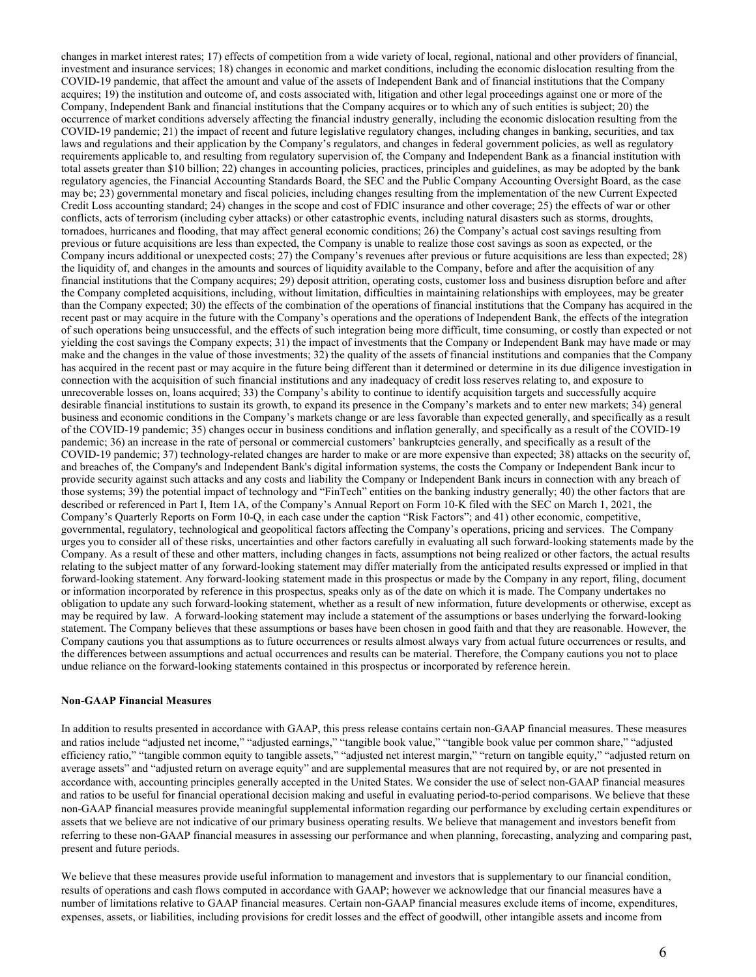changes in market interest rates; 17) effects of competition from a wide variety of local, regional, national and other providers of financial, investment and insurance services; 18) changes in economic and market conditions, including the economic dislocation resulting from the COVID-19 pandemic, that affect the amount and value of the assets of Independent Bank and of financial institutions that the Company acquires; 19) the institution and outcome of, and costs associated with, litigation and other legal proceedings against one or more of the Company, Independent Bank and financial institutions that the Company acquires or to which any of such entities is subject; 20) the occurrence of market conditions adversely affecting the financial industry generally, including the economic dislocation resulting from the COVID-19 pandemic; 21) the impact of recent and future legislative regulatory changes, including changes in banking, securities, and tax laws and regulations and their application by the Company's regulators, and changes in federal government policies, as well as regulatory requirements applicable to, and resulting from regulatory supervision of, the Company and Independent Bank as a financial institution with total assets greater than \$10 billion; 22) changes in accounting policies, practices, principles and guidelines, as may be adopted by the bank regulatory agencies, the Financial Accounting Standards Board, the SEC and the Public Company Accounting Oversight Board, as the case may be; 23) governmental monetary and fiscal policies, including changes resulting from the implementation of the new Current Expected Credit Loss accounting standard; 24) changes in the scope and cost of FDIC insurance and other coverage; 25) the effects of war or other conflicts, acts of terrorism (including cyber attacks) or other catastrophic events, including natural disasters such as storms, droughts, tornadoes, hurricanes and flooding, that may affect general economic conditions; 26) the Company's actual cost savings resulting from previous or future acquisitions are less than expected, the Company is unable to realize those cost savings as soon as expected, or the Company incurs additional or unexpected costs; 27) the Company's revenues after previous or future acquisitions are less than expected; 28) the liquidity of, and changes in the amounts and sources of liquidity available to the Company, before and after the acquisition of any financial institutions that the Company acquires; 29) deposit attrition, operating costs, customer loss and business disruption before and after the Company completed acquisitions, including, without limitation, difficulties in maintaining relationships with employees, may be greater than the Company expected; 30) the effects of the combination of the operations of financial institutions that the Company has acquired in the recent past or may acquire in the future with the Company's operations and the operations of Independent Bank, the effects of the integration of such operations being unsuccessful, and the effects of such integration being more difficult, time consuming, or costly than expected or not yielding the cost savings the Company expects; 31) the impact of investments that the Company or Independent Bank may have made or may make and the changes in the value of those investments; 32) the quality of the assets of financial institutions and companies that the Company has acquired in the recent past or may acquire in the future being different than it determined or determine in its due diligence investigation in connection with the acquisition of such financial institutions and any inadequacy of credit loss reserves relating to, and exposure to unrecoverable losses on, loans acquired; 33) the Company's ability to continue to identify acquisition targets and successfully acquire desirable financial institutions to sustain its growth, to expand its presence in the Company's markets and to enter new markets; 34) general business and economic conditions in the Company's markets change or are less favorable than expected generally, and specifically as a result of the COVID-19 pandemic; 35) changes occur in business conditions and inflation generally, and specifically as a result of the COVID-19 pandemic; 36) an increase in the rate of personal or commercial customers' bankruptcies generally, and specifically as a result of the COVID-19 pandemic; 37) technology-related changes are harder to make or are more expensive than expected; 38) attacks on the security of, and breaches of, the Company's and Independent Bank's digital information systems, the costs the Company or Independent Bank incur to provide security against such attacks and any costs and liability the Company or Independent Bank incurs in connection with any breach of those systems; 39) the potential impact of technology and "FinTech" entities on the banking industry generally; 40) the other factors that are described or referenced in Part I, Item 1A, of the Company's Annual Report on Form 10-K filed with the SEC on March 1, 2021, the Company's Quarterly Reports on Form 10-Q, in each case under the caption "Risk Factors"; and 41) other economic, competitive, governmental, regulatory, technological and geopolitical factors affecting the Company's operations, pricing and services. The Company urges you to consider all of these risks, uncertainties and other factors carefully in evaluating all such forward-looking statements made by the Company. As a result of these and other matters, including changes in facts, assumptions not being realized or other factors, the actual results relating to the subject matter of any forward-looking statement may differ materially from the anticipated results expressed or implied in that forward-looking statement. Any forward-looking statement made in this prospectus or made by the Company in any report, filing, document or information incorporated by reference in this prospectus, speaks only as of the date on which it is made. The Company undertakes no obligation to update any such forward-looking statement, whether as a result of new information, future developments or otherwise, except as may be required by law. A forward-looking statement may include a statement of the assumptions or bases underlying the forward-looking statement. The Company believes that these assumptions or bases have been chosen in good faith and that they are reasonable. However, the Company cautions you that assumptions as to future occurrences or results almost always vary from actual future occurrences or results, and the differences between assumptions and actual occurrences and results can be material. Therefore, the Company cautions you not to place undue reliance on the forward-looking statements contained in this prospectus or incorporated by reference herein.

#### **Non-GAAP Financial Measures**

In addition to results presented in accordance with GAAP, this press release contains certain non-GAAP financial measures. These measures and ratios include "adjusted net income," "adjusted earnings," "tangible book value," "tangible book value per common share," "adjusted efficiency ratio," "tangible common equity to tangible assets," "adjusted net interest margin," "return on tangible equity," "adjusted return on average assets" and "adjusted return on average equity" and are supplemental measures that are not required by, or are not presented in accordance with, accounting principles generally accepted in the United States. We consider the use of select non-GAAP financial measures and ratios to be useful for financial operational decision making and useful in evaluating period-to-period comparisons. We believe that these non-GAAP financial measures provide meaningful supplemental information regarding our performance by excluding certain expenditures or assets that we believe are not indicative of our primary business operating results. We believe that management and investors benefit from referring to these non-GAAP financial measures in assessing our performance and when planning, forecasting, analyzing and comparing past, present and future periods.

We believe that these measures provide useful information to management and investors that is supplementary to our financial condition, results of operations and cash flows computed in accordance with GAAP; however we acknowledge that our financial measures have a number of limitations relative to GAAP financial measures. Certain non-GAAP financial measures exclude items of income, expenditures, expenses, assets, or liabilities, including provisions for credit losses and the effect of goodwill, other intangible assets and income from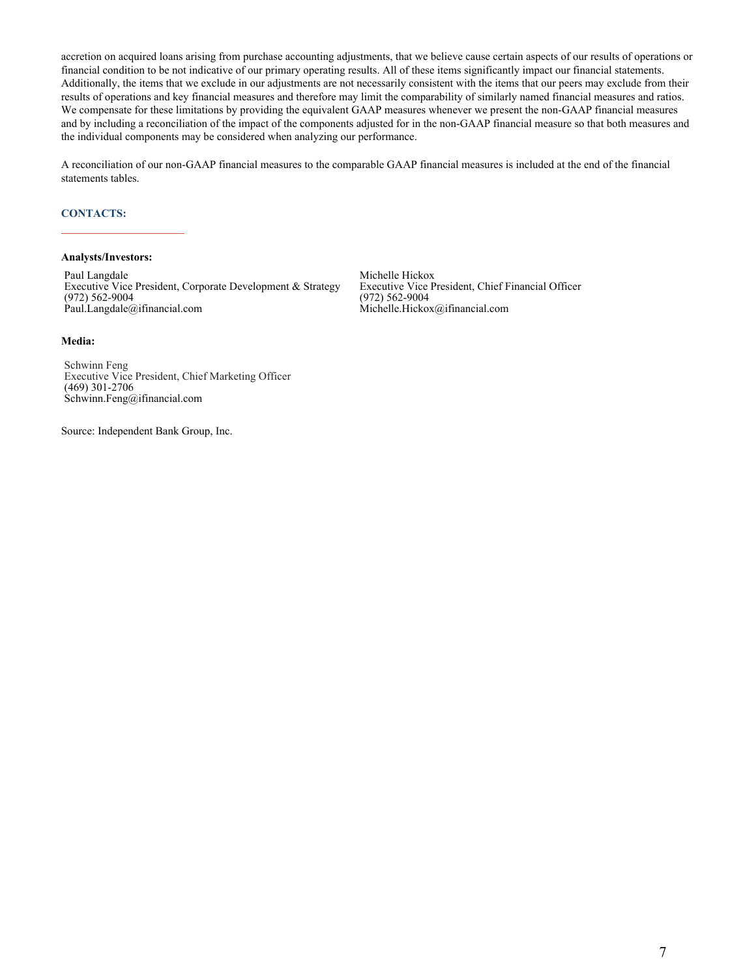accretion on acquired loans arising from purchase accounting adjustments, that we believe cause certain aspects of our results of operations or financial condition to be not indicative of our primary operating results. All of these items significantly impact our financial statements. Additionally, the items that we exclude in our adjustments are not necessarily consistent with the items that our peers may exclude from their results of operations and key financial measures and therefore may limit the comparability of similarly named financial measures and ratios. We compensate for these limitations by providing the equivalent GAAP measures whenever we present the non-GAAP financial measures and by including a reconciliation of the impact of the components adjusted for in the non-GAAP financial measure so that both measures and the individual components may be considered when analyzing our performance.

A reconciliation of our non-GAAP financial measures to the comparable GAAP financial measures is included at the end of the financial statements tables.

#### **CONTACTS:**

#### **Analysts/Investors:**

Paul Langdale Executive Vice President, Corporate Development & Strategy (972) 562-9004 Paul.Langdale@ifinancial.com

Michelle Hickox Executive Vice President, Chief Financial Officer (972) 562-9004 Michelle.Hickox@ifinancial.com

#### **Media:**

Schwinn Feng Executive Vice President, Chief Marketing Officer (469) 301-2706 Schwinn.Feng@ifinancial.com

Source: Independent Bank Group, Inc.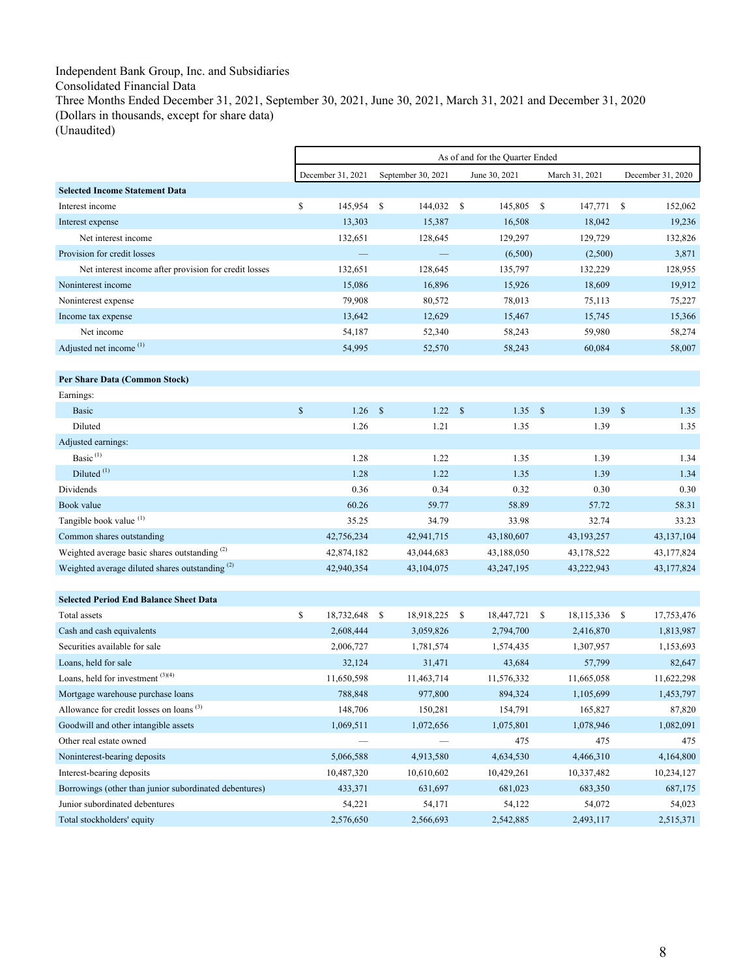# Independent Bank Group, Inc. and Subsidiaries Consolidated Financial Data Three Months Ended December 31, 2021, September 30, 2021, June 30, 2021, March 31, 2021 and December 31, 2020 (Dollars in thousands, except for share data)

r

(Unaudited)

|                                                            |             |                   |              |                    |               | As of and for the Quarter Ended |                    |                |                    |                   |
|------------------------------------------------------------|-------------|-------------------|--------------|--------------------|---------------|---------------------------------|--------------------|----------------|--------------------|-------------------|
|                                                            |             | December 31, 2021 |              | September 30, 2021 |               | June 30, 2021                   |                    | March 31, 2021 |                    | December 31, 2020 |
| <b>Selected Income Statement Data</b>                      |             |                   |              |                    |               |                                 |                    |                |                    |                   |
| Interest income                                            | \$          | 145,954           | <b>S</b>     | 144,032            | -S            | 145,805                         | -S                 | 147,771        | $\mathbf{s}$       | 152,062           |
| Interest expense                                           |             | 13,303            |              | 15,387             |               | 16,508                          |                    | 18,042         |                    | 19,236            |
| Net interest income                                        |             | 132,651           |              | 128,645            |               | 129,297                         |                    | 129,729        |                    | 132,826           |
| Provision for credit losses                                |             |                   |              |                    |               | (6,500)                         |                    | (2,500)        |                    | 3,871             |
| Net interest income after provision for credit losses      |             | 132,651           |              | 128,645            |               | 135,797                         |                    | 132,229        |                    | 128,955           |
| Noninterest income                                         |             | 15,086            |              | 16,896             |               | 15,926                          |                    | 18,609         |                    | 19,912            |
| Noninterest expense                                        |             | 79,908            |              | 80,572             |               | 78,013                          |                    | 75,113         |                    | 75,227            |
| Income tax expense                                         |             | 13,642            |              | 12,629             |               | 15,467                          |                    | 15,745         |                    | 15,366            |
| Net income                                                 |             | 54,187            |              | 52,340             |               | 58,243                          |                    | 59,980         |                    | 58,274            |
| Adjusted net income <sup>(1)</sup>                         |             | 54,995            |              | 52,570             |               | 58,243                          |                    | 60,084         |                    | 58,007            |
|                                                            |             |                   |              |                    |               |                                 |                    |                |                    |                   |
| Per Share Data (Common Stock)                              |             |                   |              |                    |               |                                 |                    |                |                    |                   |
| Earnings:                                                  |             |                   |              |                    |               |                                 |                    |                |                    |                   |
| <b>Basic</b>                                               | $\mathbf S$ | 1.26              | $\mathbf{s}$ | 1.22               | $\mathcal{S}$ | 1.35                            | $\mathbf{\hat{s}}$ | 1.39           | $\mathbf{\hat{s}}$ | 1.35              |
| Diluted                                                    |             | 1.26              |              | 1.21               |               | 1.35                            |                    | 1.39           |                    | 1.35              |
| Adjusted earnings:                                         |             |                   |              |                    |               |                                 |                    |                |                    |                   |
| Basic <sup>(1)</sup>                                       |             | 1.28              |              | 1.22               |               | 1.35                            |                    | 1.39           |                    | 1.34              |
| Diluted <sup>(1)</sup>                                     |             | 1.28              |              | 1.22               |               | 1.35                            |                    | 1.39           |                    | 1.34              |
| Dividends                                                  |             | 0.36              |              | 0.34               |               | 0.32                            |                    | 0.30           |                    | 0.30              |
| Book value                                                 |             | 60.26             |              | 59.77              |               | 58.89                           |                    | 57.72          |                    | 58.31             |
| Tangible book value (1)                                    |             | 35.25             |              | 34.79              |               | 33.98                           |                    | 32.74          |                    | 33.23             |
| Common shares outstanding                                  |             | 42,756,234        |              | 42,941,715         |               | 43,180,607                      |                    | 43, 193, 257   |                    | 43,137,104        |
| Weighted average basic shares outstanding <sup>(2)</sup>   |             | 42,874,182        |              | 43,044,683         |               | 43,188,050                      |                    | 43,178,522     |                    | 43,177,824        |
| Weighted average diluted shares outstanding <sup>(2)</sup> |             | 42,940,354        |              | 43,104,075         |               | 43,247,195                      |                    | 43,222,943     |                    | 43,177,824        |
|                                                            |             |                   |              |                    |               |                                 |                    |                |                    |                   |
| <b>Selected Period End Balance Sheet Data</b>              |             |                   |              |                    |               |                                 |                    |                |                    |                   |
| Total assets                                               | \$          | 18,732,648        | - \$         | 18,918,225         | -S            | 18,447,721                      | \$                 | 18,115,336 \$  |                    | 17,753,476        |
| Cash and cash equivalents                                  |             | 2,608,444         |              | 3,059,826          |               | 2,794,700                       |                    | 2,416,870      |                    | 1,813,987         |
| Securities available for sale                              |             | 2,006,727         |              | 1,781,574          |               | 1,574,435                       |                    | 1,307,957      |                    | 1,153,693         |
| Loans, held for sale                                       |             | 32,124            |              | 31,471             |               | 43,684                          |                    | 57,799         |                    | 82,647            |
| Loans, held for investment (3)(4)                          |             | 11,650,598        |              | 11,463,714         |               | 11,576,332                      |                    | 11,665,058     |                    | 11,622,298        |
| Mortgage warehouse purchase loans                          |             | 788,848           |              | 977,800            |               | 894,324                         |                    | 1,105,699      |                    | 1,453,797         |
| Allowance for credit losses on loans <sup>(3)</sup>        |             | 148,706           |              | 150,281            |               | 154,791                         |                    | 165,827        |                    | 87,820            |
| Goodwill and other intangible assets                       |             | 1,069,511         |              | 1,072,656          |               | 1,075,801                       |                    | 1,078,946      |                    | 1,082,091         |
| Other real estate owned                                    |             |                   |              |                    |               | 475                             |                    | 475            |                    | 475               |
| Noninterest-bearing deposits                               |             | 5,066,588         |              | 4,913,580          |               | 4,634,530                       |                    | 4,466,310      |                    | 4,164,800         |
| Interest-bearing deposits                                  |             | 10,487,320        |              | 10,610,602         |               | 10,429,261                      |                    | 10,337,482     |                    | 10,234,127        |
| Borrowings (other than junior subordinated debentures)     |             | 433,371           |              | 631,697            |               | 681,023                         |                    | 683,350        |                    | 687,175           |
| Junior subordinated debentures                             |             | 54,221            |              | 54,171             |               | 54,122                          |                    | 54,072         |                    | 54,023            |
| Total stockholders' equity                                 |             | 2,576,650         |              | 2,566,693          |               | 2,542,885                       |                    | 2,493,117      |                    | 2,515,371         |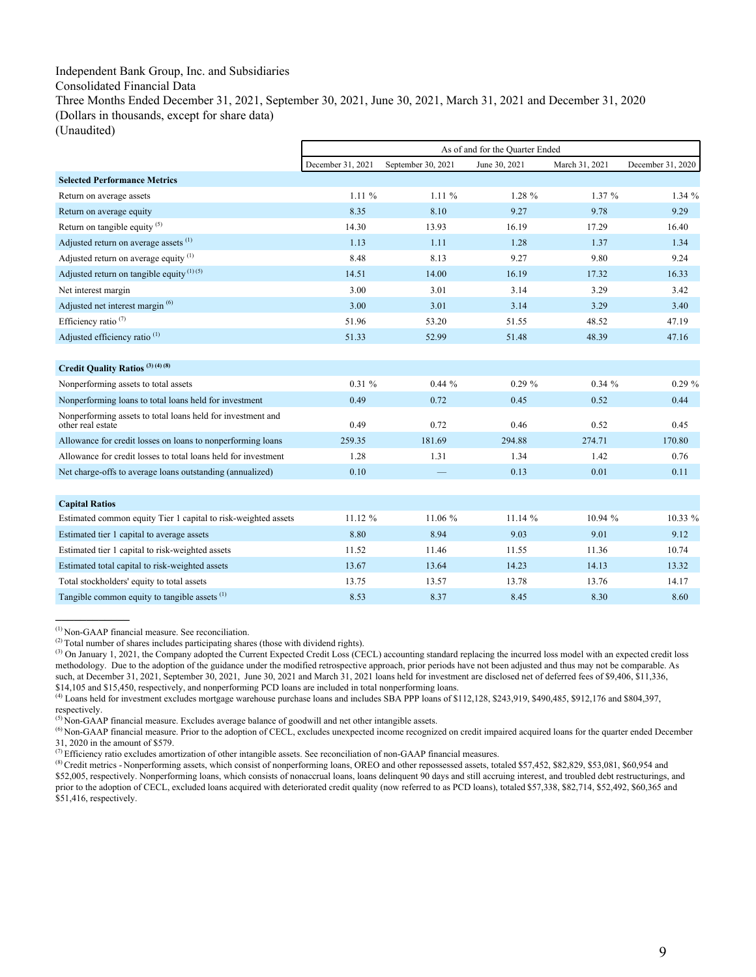# Independent Bank Group, Inc. and Subsidiaries

Consolidated Financial Data

Three Months Ended December 31, 2021, September 30, 2021, June 30, 2021, March 31, 2021 and December 31, 2020 (Dollars in thousands, except for share data)

(Unaudited)

|                                                                                  | As of and for the Quarter Ended |                    |               |                |                   |  |  |  |
|----------------------------------------------------------------------------------|---------------------------------|--------------------|---------------|----------------|-------------------|--|--|--|
|                                                                                  | December 31, 2021               | September 30, 2021 | June 30, 2021 | March 31, 2021 | December 31, 2020 |  |  |  |
| <b>Selected Performance Metrics</b>                                              |                                 |                    |               |                |                   |  |  |  |
| Return on average assets                                                         | $1.11\%$                        | 1.11%              | $1.28 \%$     | 1.37%          | 1.34%             |  |  |  |
| Return on average equity                                                         | 8.35                            | 8.10               | 9.27          | 9.78           | 9.29              |  |  |  |
| Return on tangible equity $(5)$                                                  | 14.30                           | 13.93              | 16.19         | 17.29          | 16.40             |  |  |  |
| Adjusted return on average assets <sup>(1)</sup>                                 | 1.13                            | 1.11               | 1.28          | 1.37           | 1.34              |  |  |  |
| Adjusted return on average equity $(1)$                                          | 8.48                            | 8.13               | 9.27          | 9.80           | 9.24              |  |  |  |
| Adjusted return on tangible equity $(1)(5)$                                      | 14.51                           | 14.00              | 16.19         | 17.32          | 16.33             |  |  |  |
| Net interest margin                                                              | 3.00                            | 3.01               | 3.14          | 3.29           | 3.42              |  |  |  |
| Adjusted net interest margin <sup>(6)</sup>                                      | 3.00                            | 3.01               | 3.14          | 3.29           | 3.40              |  |  |  |
| Efficiency ratio <sup>(7)</sup>                                                  | 51.96                           | 53.20              | 51.55         | 48.52          | 47.19             |  |  |  |
| Adjusted efficiency ratio <sup>(1)</sup>                                         | 51.33                           | 52.99              | 51.48         | 48.39          | 47.16             |  |  |  |
|                                                                                  |                                 |                    |               |                |                   |  |  |  |
| Credit Quality Ratios <sup>(3)(4)(8)</sup>                                       |                                 |                    |               |                |                   |  |  |  |
| Nonperforming assets to total assets                                             | $0.31 \%$                       | 0.44%              | $0.29 \%$     | $0.34 \%$      | $0.29 \%$         |  |  |  |
| Nonperforming loans to total loans held for investment                           | 0.49                            | 0.72               | 0.45          | 0.52           | 0.44              |  |  |  |
| Nonperforming assets to total loans held for investment and<br>other real estate | 0.49                            | 0.72               | 0.46          | 0.52           | 0.45              |  |  |  |
| Allowance for credit losses on loans to nonperforming loans                      | 259.35                          | 181.69             | 294.88        | 274.71         | 170.80            |  |  |  |
| Allowance for credit losses to total loans held for investment                   | 1.28                            | 1.31               | 1.34          | 1.42           | 0.76              |  |  |  |
| Net charge-offs to average loans outstanding (annualized)                        | 0.10                            |                    | 0.13          | 0.01           | 0.11              |  |  |  |
|                                                                                  |                                 |                    |               |                |                   |  |  |  |
| <b>Capital Ratios</b>                                                            |                                 |                    |               |                |                   |  |  |  |
| Estimated common equity Tier 1 capital to risk-weighted assets                   | 11.12 %                         | 11.06 %            | 11.14 %       | 10.94 %        | 10.33 %           |  |  |  |
| Estimated tier 1 capital to average assets                                       | 8.80                            | 8.94               | 9.03          | 9.01           | 9.12              |  |  |  |
| Estimated tier 1 capital to risk-weighted assets                                 | 11.52                           | 11.46              | 11.55         | 11.36          | 10.74             |  |  |  |
| Estimated total capital to risk-weighted assets                                  | 13.67                           | 13.64              | 14.23         | 14.13          | 13.32             |  |  |  |
| Total stockholders' equity to total assets                                       | 13.75                           | 13.57              | 13.78         | 13.76          | 14.17             |  |  |  |
| Tangible common equity to tangible assets $(1)$                                  | 8.53                            | 8.37               | 8.45          | 8.30           | 8.60              |  |  |  |

 $<sup>(1)</sup>$  Non-GAAP financial measure. See reconciliation.</sup>

 $(2)$  Total number of shares includes participating shares (those with dividend rights).

<sup>(3)</sup> On January 1, 2021, the Company adopted the Current Expected Credit Loss (CECL) accounting standard replacing the incurred loss model with an expected credit loss methodology. Due to the adoption of the guidance under the modified retrospective approach, prior periods have not been adjusted and thus may not be comparable. As such, at December 31, 2021, September 30, 2021, June 30, 2021 and March 31, 2021 loans held for investment are disclosed net of deferred fees of \$9,406, \$11,336, \$14,105 and \$15,450, respectively, and nonperforming PCD loans are included in total nonperforming loans.<br><sup>(4)</sup> Loans held for investment excludes mortgage warehouse purchase loans and includes SBA PPP loans of \$112,128, \$

respectively.<br><sup>(5)</sup> Non-GAAP financial measure. Excludes average balance of goodwill and net other intangible assets.

<sup>&</sup>lt;sup>(6)</sup> Non-GAAP financial measure. Prior to the adoption of CECL, excludes unexpected income recognized on credit impaired acquired loans for the quarter ended December 31, 2020 in the amount of \$579.<br><sup>(7)</sup> Efficiency ratio excludes amortization of other intangible assets. See reconciliation of non-GAAP financial measures.

<sup>&</sup>lt;sup>(8)</sup> Credit metrics - Nonperforming assets, which consist of nonperforming loans, OREO and other repossessed assets, totaled \$57,452, \$82,829, \$53,081, \$60,954 and \$52,005, respectively. Nonperforming loans, which consists of nonaccrual loans, loans delinquent 90 days and still accruing interest, and troubled debt restructurings, and prior to the adoption of CECL, excluded loans acquired with deteriorated credit quality (now referred to as PCD loans), totaled \$57,338, \$82,714, \$52,492, \$60,365 and \$51,416, respectively.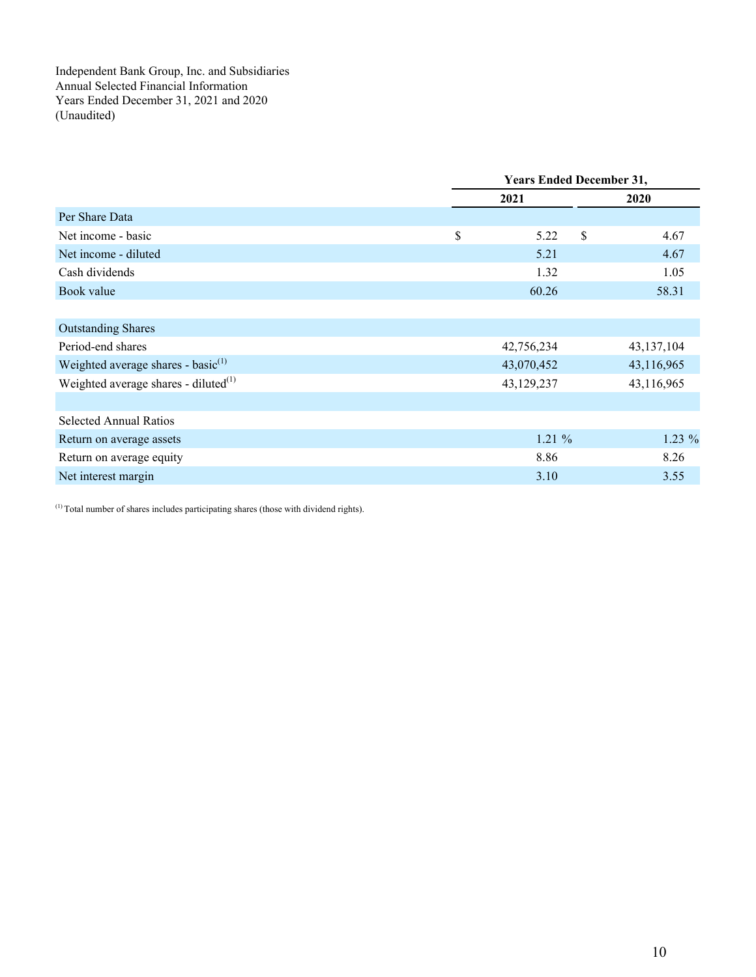Independent Bank Group, Inc. and Subsidiaries Annual Selected Financial Information Years Ended December 31, 2021 and 2020 (Unaudited)

|                                          | <b>Years Ended December 31,</b> |    |            |  |  |
|------------------------------------------|---------------------------------|----|------------|--|--|
|                                          | 2021                            |    | 2020       |  |  |
| Per Share Data                           |                                 |    |            |  |  |
| Net income - basic                       | \$<br>5.22                      | \$ | 4.67       |  |  |
| Net income - diluted                     | 5.21                            |    | 4.67       |  |  |
| Cash dividends                           | 1.32                            |    | 1.05       |  |  |
| Book value                               | 60.26                           |    | 58.31      |  |  |
|                                          |                                 |    |            |  |  |
| <b>Outstanding Shares</b>                |                                 |    |            |  |  |
| Period-end shares                        | 42,756,234                      |    | 43,137,104 |  |  |
| Weighted average shares - basic $^{(1)}$ | 43,070,452                      |    | 43,116,965 |  |  |
| Weighted average shares - diluted $(1)$  | 43,129,237                      |    | 43,116,965 |  |  |
|                                          |                                 |    |            |  |  |
| <b>Selected Annual Ratios</b>            |                                 |    |            |  |  |
| Return on average assets                 | 1.21%                           |    | $1.23\%$   |  |  |
| Return on average equity                 | 8.86                            |    | 8.26       |  |  |
| Net interest margin                      | 3.10                            |    | 3.55       |  |  |
|                                          |                                 |    |            |  |  |

(1) Total number of shares includes participating shares (those with dividend rights).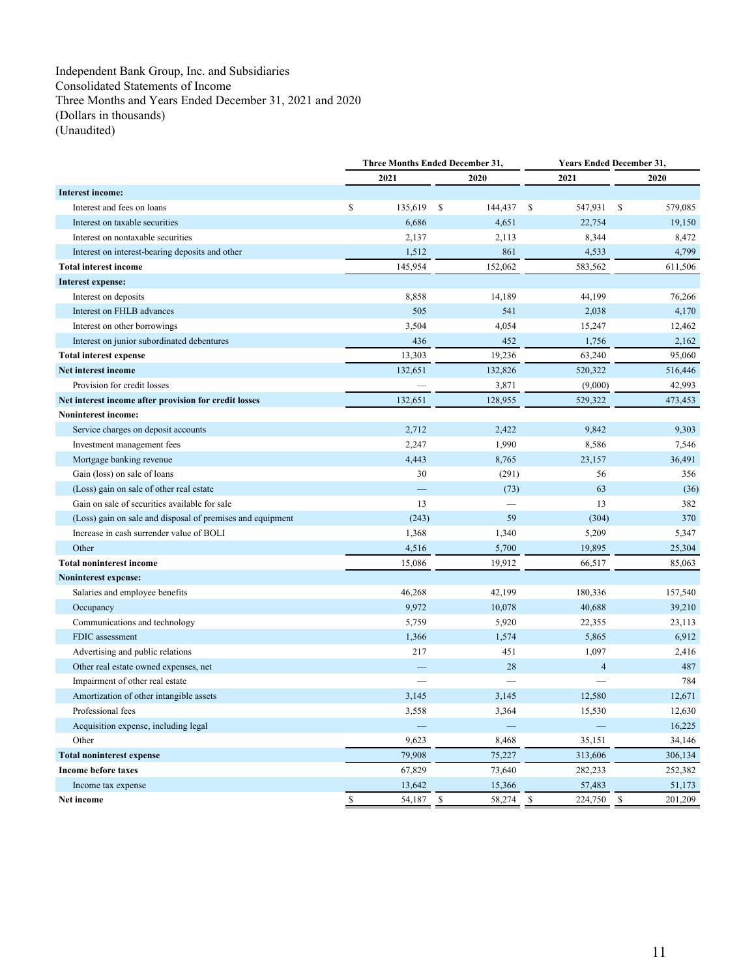Independent Bank Group, Inc. and Subsidiaries Consolidated Statements of Income Three Months and Years Ended December 31, 2021 and 2020 (Dollars in thousands) (Unaudited)

|                                                            |              |                          | Three Months Ended December 31, |                         | <b>Years Ended December 31,</b> |  |  |
|------------------------------------------------------------|--------------|--------------------------|---------------------------------|-------------------------|---------------------------------|--|--|
|                                                            |              | 2021                     | 2020                            | 2021                    | 2020                            |  |  |
| Interest income:                                           |              |                          |                                 |                         |                                 |  |  |
| Interest and fees on loans                                 | \$           | 135,619                  | -S<br>144,437                   | 547,931<br>\$           | 579,085<br>\$                   |  |  |
| Interest on taxable securities                             |              | 6,686                    | 4,651                           | 22,754                  | 19,150                          |  |  |
| Interest on nontaxable securities                          |              | 2,137                    | 2,113                           | 8,344                   | 8,472                           |  |  |
| Interest on interest-bearing deposits and other            |              | 1,512                    | 861                             | 4,533                   | 4,799                           |  |  |
| <b>Total interest income</b>                               |              | 145,954                  | 152,062                         | 583,562                 | 611,506                         |  |  |
| Interest expense:                                          |              |                          |                                 |                         |                                 |  |  |
| Interest on deposits                                       |              | 8,858                    | 14,189                          | 44,199                  | 76,266                          |  |  |
| Interest on FHLB advances                                  |              | 505                      | 541                             | 2,038                   | 4,170                           |  |  |
| Interest on other borrowings                               |              | 3,504                    | 4,054                           | 15,247                  | 12,462                          |  |  |
| Interest on junior subordinated debentures                 |              | 436                      | 452                             | 1,756                   | 2,162                           |  |  |
| <b>Total interest expense</b>                              |              | 13,303                   | 19,236                          | 63,240                  | 95,060                          |  |  |
| Net interest income                                        |              | 132,651                  | 132,826                         | 520,322                 | 516,446                         |  |  |
| Provision for credit losses                                |              |                          | 3,871                           | (9,000)                 | 42,993                          |  |  |
| Net interest income after provision for credit losses      |              | 132,651                  | 128,955                         | 529,322                 | 473,453                         |  |  |
| <b>Noninterest income:</b>                                 |              |                          |                                 |                         |                                 |  |  |
| Service charges on deposit accounts                        |              | 2,712                    | 2,422                           | 9,842                   | 9,303                           |  |  |
| Investment management fees                                 |              | 2,247                    | 1,990                           | 8,586                   | 7,546                           |  |  |
| Mortgage banking revenue                                   |              | 4,443                    | 8,765                           | 23,157                  | 36,491                          |  |  |
| Gain (loss) on sale of loans                               |              | 30                       | (291)                           | 56                      | 356                             |  |  |
| (Loss) gain on sale of other real estate                   |              | <u>in</u>                | (73)                            | 63                      | (36)                            |  |  |
| Gain on sale of securities available for sale              |              | 13                       |                                 | 13                      | 382                             |  |  |
| (Loss) gain on sale and disposal of premises and equipment |              | (243)                    | 59                              | (304)                   | 370                             |  |  |
| Increase in cash surrender value of BOLI                   |              | 1,368                    | 1,340                           | 5,209                   | 5,347                           |  |  |
| Other                                                      |              | 4,516                    | 5,700                           | 19,895                  | 25,304                          |  |  |
| <b>Total noninterest income</b>                            |              | 15,086                   | 19,912                          | 66,517                  | 85,063                          |  |  |
| Noninterest expense:                                       |              |                          |                                 |                         |                                 |  |  |
| Salaries and employee benefits                             |              | 46,268                   | 42,199                          | 180,336                 | 157,540                         |  |  |
| Occupancy                                                  |              | 9,972                    | 10,078                          | 40,688                  | 39,210                          |  |  |
| Communications and technology                              |              | 5,759                    | 5,920                           | 22,355                  | 23,113                          |  |  |
| FDIC assessment                                            |              | 1,366                    | 1,574                           | 5,865                   | 6,912                           |  |  |
| Advertising and public relations                           |              | 217                      | 451                             | 1,097                   | 2,416                           |  |  |
| Other real estate owned expenses, net                      |              |                          | 28                              | $\overline{4}$          | 487                             |  |  |
| Impairment of other real estate                            |              | $\overline{\phantom{a}}$ |                                 |                         | 784                             |  |  |
| Amortization of other intangible assets                    |              | 3,145                    | 3,145                           | 12,580                  | 12,671                          |  |  |
| Professional fees                                          |              | 3,558                    | 3,364                           | 15,530                  | 12,630                          |  |  |
| Acquisition expense, including legal                       |              |                          |                                 |                         | 16,225                          |  |  |
| Other                                                      |              | 9,623                    | 8,468                           | 35,151                  | 34,146                          |  |  |
| <b>Total noninterest expense</b>                           |              | 79,908                   | 75,227                          | 313,606                 | 306,134                         |  |  |
| <b>Income before taxes</b>                                 |              | 67,829                   | 73,640                          | 282,233                 | 252,382                         |  |  |
| Income tax expense                                         |              | 13,642                   | 15,366                          | 57,483                  | 51,173                          |  |  |
| Net income                                                 | $\mathbb{S}$ | 54,187                   | \$<br>58,274                    | $\mathbb{S}$<br>224,750 | \$<br>201,209                   |  |  |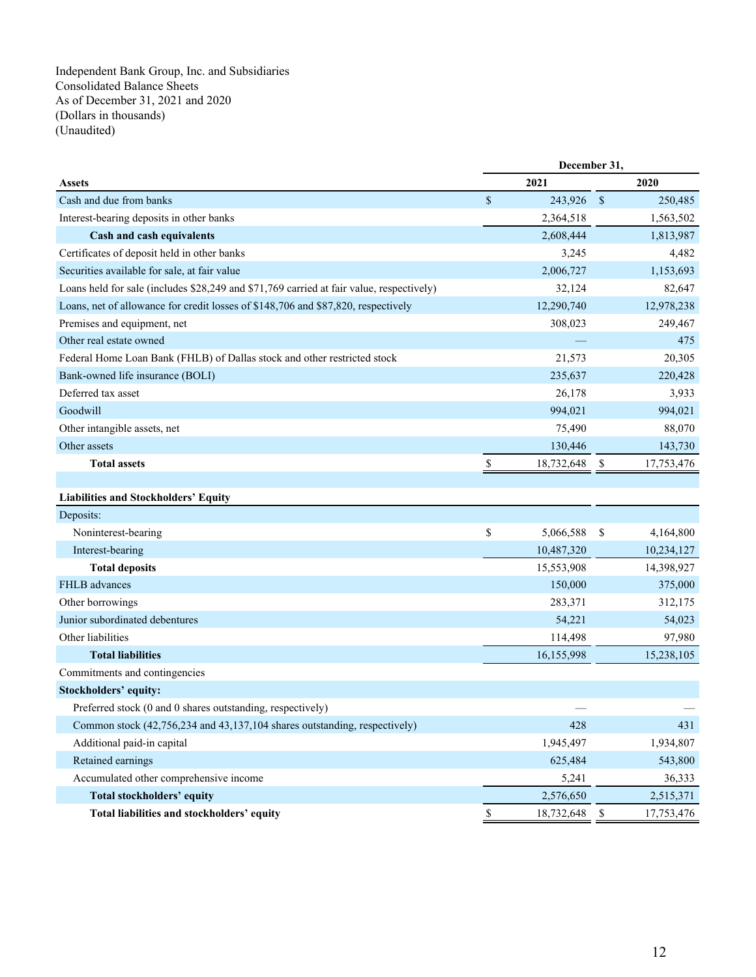Independent Bank Group, Inc. and Subsidiaries Consolidated Balance Sheets As of December 31, 2021 and 2020 (Dollars in thousands) (Unaudited)

|                                                                                          |             | December 31, |               |            |  |  |
|------------------------------------------------------------------------------------------|-------------|--------------|---------------|------------|--|--|
| <b>Assets</b>                                                                            |             | 2021         |               | 2020       |  |  |
| Cash and due from banks                                                                  | $\$$        | 243,926      | $\mathcal{S}$ | 250,485    |  |  |
| Interest-bearing deposits in other banks                                                 |             | 2,364,518    |               | 1,563,502  |  |  |
| Cash and cash equivalents                                                                |             | 2,608,444    |               | 1,813,987  |  |  |
| Certificates of deposit held in other banks                                              |             | 3,245        |               | 4,482      |  |  |
| Securities available for sale, at fair value                                             |             | 2,006,727    |               | 1,153,693  |  |  |
| Loans held for sale (includes \$28,249 and \$71,769 carried at fair value, respectively) |             | 32,124       |               | 82,647     |  |  |
| Loans, net of allowance for credit losses of \$148,706 and \$87,820, respectively        |             | 12,290,740   |               | 12,978,238 |  |  |
| Premises and equipment, net                                                              |             | 308,023      |               | 249,467    |  |  |
| Other real estate owned                                                                  |             |              |               | 475        |  |  |
| Federal Home Loan Bank (FHLB) of Dallas stock and other restricted stock                 |             | 21,573       |               | 20,305     |  |  |
| Bank-owned life insurance (BOLI)                                                         |             | 235,637      |               | 220,428    |  |  |
| Deferred tax asset                                                                       |             | 26,178       |               | 3,933      |  |  |
| Goodwill                                                                                 |             | 994,021      |               | 994,021    |  |  |
| Other intangible assets, net                                                             |             | 75,490       |               | 88,070     |  |  |
| Other assets                                                                             |             | 130,446      |               | 143,730    |  |  |
| <b>Total assets</b>                                                                      | S           | 18,732,648   | -\$           | 17,753,476 |  |  |
|                                                                                          |             |              |               |            |  |  |
| <b>Liabilities and Stockholders' Equity</b>                                              |             |              |               |            |  |  |
| Deposits:                                                                                |             |              |               |            |  |  |
| Noninterest-bearing                                                                      | \$          | 5,066,588    | \$            | 4,164,800  |  |  |
| Interest-bearing                                                                         |             | 10,487,320   |               | 10,234,127 |  |  |
| <b>Total deposits</b>                                                                    |             | 15,553,908   |               | 14,398,927 |  |  |
| FHLB advances                                                                            |             | 150,000      |               | 375,000    |  |  |
| Other borrowings                                                                         |             | 283,371      |               | 312,175    |  |  |
| Junior subordinated debentures                                                           |             | 54,221       |               | 54,023     |  |  |
| Other liabilities                                                                        |             | 114,498      |               | 97,980     |  |  |
| <b>Total liabilities</b>                                                                 |             | 16,155,998   |               | 15,238,105 |  |  |
| Commitments and contingencies                                                            |             |              |               |            |  |  |
| <b>Stockholders' equity:</b>                                                             |             |              |               |            |  |  |
| Preferred stock (0 and 0 shares outstanding, respectively)                               |             |              |               |            |  |  |
| Common stock (42,756,234 and 43,137,104 shares outstanding, respectively)                |             | 428          |               | 431        |  |  |
| Additional paid-in capital                                                               |             | 1,945,497    |               | 1,934,807  |  |  |
| Retained earnings                                                                        |             | 625,484      |               | 543,800    |  |  |
| Accumulated other comprehensive income                                                   |             | 5,241        |               | 36,333     |  |  |
| Total stockholders' equity                                                               |             | 2,576,650    |               | 2,515,371  |  |  |
| Total liabilities and stockholders' equity                                               | $\mathbb S$ | 18,732,648   | \$            | 17,753,476 |  |  |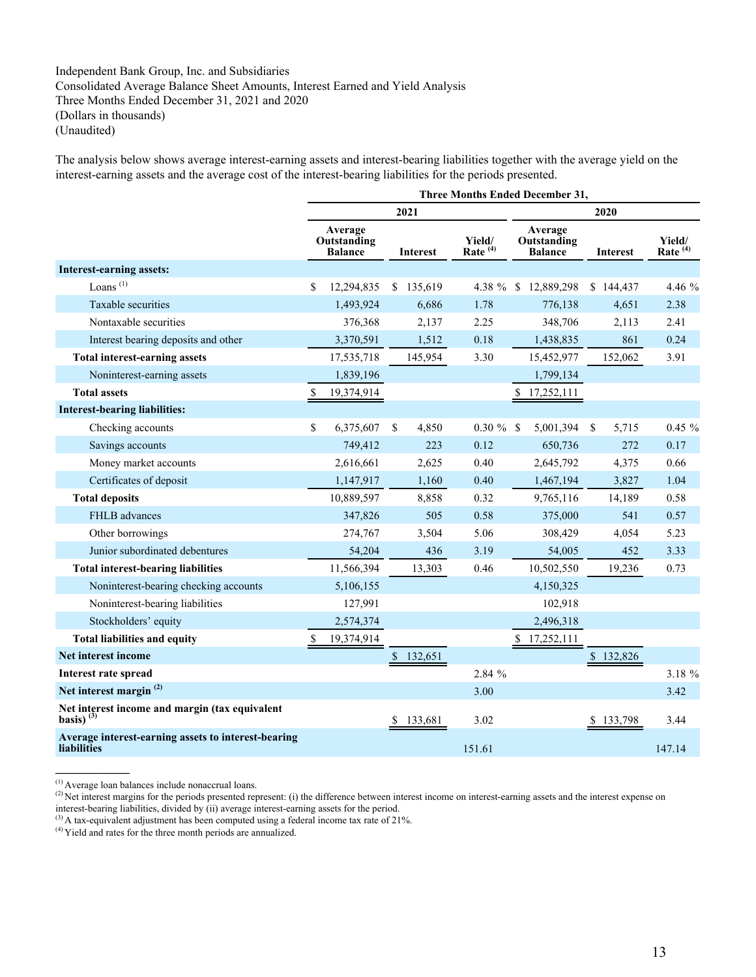# Independent Bank Group, Inc. and Subsidiaries Consolidated Average Balance Sheet Amounts, Interest Earned and Yield Analysis Three Months Ended December 31, 2021 and 2020 (Dollars in thousands) (Unaudited)

The analysis below shows average interest-earning assets and interest-bearing liabilities together with the average yield on the interest-earning assets and the average cost of the interest-bearing liabilities for the periods presented.

|                                                                           |                                          |            |                 |                               | <b>Three Months Ended December 31,</b>   |              |                 |                      |
|---------------------------------------------------------------------------|------------------------------------------|------------|-----------------|-------------------------------|------------------------------------------|--------------|-----------------|----------------------|
|                                                                           |                                          |            | 2021            |                               |                                          |              | 2020            |                      |
|                                                                           | Average<br>Outstanding<br><b>Balance</b> |            | <b>Interest</b> | Yield/<br>Rate <sup>(4)</sup> | Average<br>Outstanding<br><b>Balance</b> |              | <b>Interest</b> | Yield/<br>Rate $(4)$ |
| Interest-earning assets:                                                  |                                          |            |                 |                               |                                          |              |                 |                      |
| Loans <sup>(1)</sup>                                                      | \$                                       | 12,294,835 | \$135,619       |                               | 4.38 % \$12,889,298                      |              | \$144,437       | 4.46 %               |
| Taxable securities                                                        |                                          | 1,493,924  | 6,686           | 1.78                          | 776,138                                  |              | 4,651           | 2.38                 |
| Nontaxable securities                                                     |                                          | 376,368    | 2,137           | 2.25                          | 348,706                                  |              | 2,113           | 2.41                 |
| Interest bearing deposits and other                                       |                                          | 3,370,591  | 1,512           | 0.18                          | 1,438,835                                |              | 861             | 0.24                 |
| <b>Total interest-earning assets</b>                                      |                                          | 17,535,718 | 145,954         | 3.30                          | 15,452,977                               |              | 152,062         | 3.91                 |
| Noninterest-earning assets                                                |                                          | 1,839,196  |                 |                               | 1,799,134                                |              |                 |                      |
| <b>Total assets</b>                                                       | \$                                       | 19,374,914 |                 |                               | 17,252,111                               |              |                 |                      |
| <b>Interest-bearing liabilities:</b>                                      |                                          |            |                 |                               |                                          |              |                 |                      |
| Checking accounts                                                         | \$                                       | 6,375,607  | \$<br>4,850     | $0.30 \%$ \$                  | 5,001,394                                | $\mathbb{S}$ | 5,715           | $0.45 \%$            |
| Savings accounts                                                          |                                          | 749,412    | 223             | 0.12                          | 650,736                                  |              | 272             | 0.17                 |
| Money market accounts                                                     |                                          | 2,616,661  | 2,625           | 0.40                          | 2,645,792                                |              | 4,375           | 0.66                 |
| Certificates of deposit                                                   |                                          | 1,147,917  | 1,160           | 0.40                          | 1,467,194                                |              | 3,827           | 1.04                 |
| <b>Total deposits</b>                                                     |                                          | 10,889,597 | 8,858           | 0.32                          | 9,765,116                                |              | 14,189          | 0.58                 |
| FHLB advances                                                             |                                          | 347,826    | 505             | 0.58                          | 375,000                                  |              | 541             | 0.57                 |
| Other borrowings                                                          |                                          | 274,767    | 3,504           | 5.06                          | 308,429                                  |              | 4,054           | 5.23                 |
| Junior subordinated debentures                                            |                                          | 54,204     | 436             | 3.19                          | 54,005                                   |              | 452             | 3.33                 |
| <b>Total interest-bearing liabilities</b>                                 |                                          | 11,566,394 | 13,303          | 0.46                          | 10,502,550                               |              | 19,236          | 0.73                 |
| Noninterest-bearing checking accounts                                     |                                          | 5,106,155  |                 |                               | 4,150,325                                |              |                 |                      |
| Noninterest-bearing liabilities                                           |                                          | 127,991    |                 |                               | 102,918                                  |              |                 |                      |
| Stockholders' equity                                                      |                                          | 2,574,374  |                 |                               | 2,496,318                                |              |                 |                      |
| <b>Total liabilities and equity</b>                                       | \$                                       | 19,374,914 |                 |                               | \$17,252,111                             |              |                 |                      |
| Net interest income                                                       |                                          |            | \$<br>132,651   |                               |                                          |              | \$132,826       |                      |
| Interest rate spread                                                      |                                          |            |                 | 2.84 %                        |                                          |              |                 | 3.18 %               |
| Net interest margin <sup>(2)</sup>                                        |                                          |            |                 | 3.00                          |                                          |              |                 | 3.42                 |
| Net interest income and margin (tax equivalent<br>basis) $^{(3)}$         |                                          |            | \$<br>133,681   | 3.02                          |                                          |              | \$133,798       | 3.44                 |
| Average interest-earning assets to interest-bearing<br><b>liabilities</b> |                                          |            |                 | 151.61                        |                                          |              |                 | 147.14               |

<sup>(1)</sup> Average loan balances include nonaccrual loans.

<sup>&</sup>lt;sup>(2)</sup> Net interest margins for the periods presented represent: (i) the difference between interest income on interest-earning assets and the interest expense on

interest-bearing liabilities, divided by (ii) average interest-earning assets for the period.

 $(3)$  A tax-equivalent adjustment has been computed using a federal income tax rate of 21%.

<sup>(4)</sup> Yield and rates for the three month periods are annualized.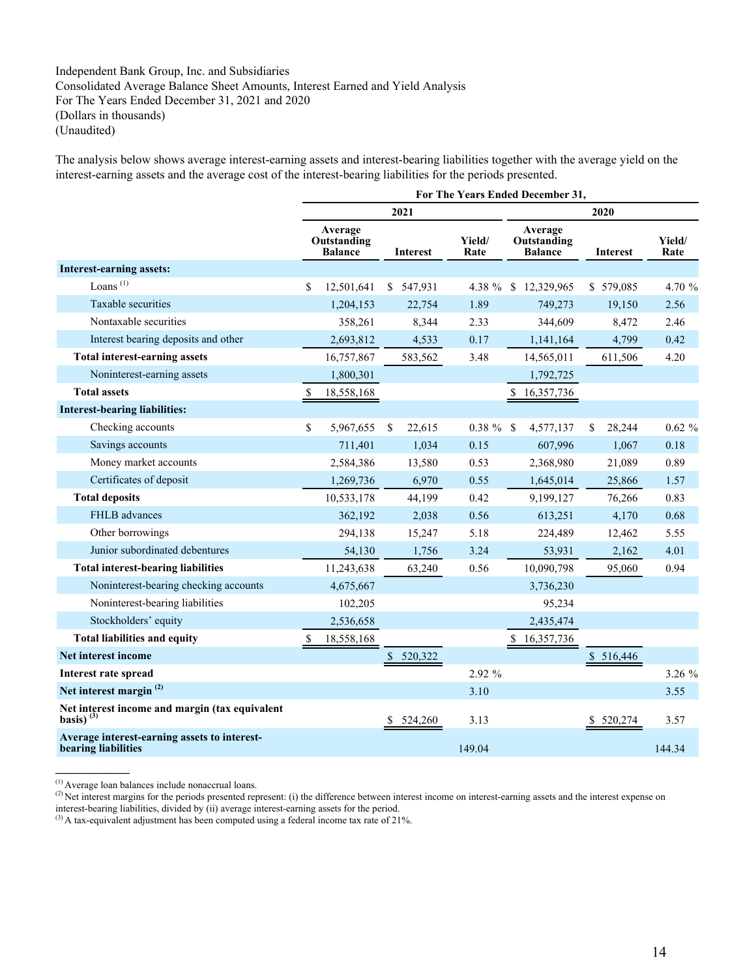# Independent Bank Group, Inc. and Subsidiaries Consolidated Average Balance Sheet Amounts, Interest Earned and Yield Analysis For The Years Ended December 31, 2021 and 2020 (Dollars in thousands) (Unaudited)

The analysis below shows average interest-earning assets and interest-bearing liabilities together with the average yield on the interest-earning assets and the average cost of the interest-bearing liabilities for the periods presented.

|                                                                     |                                          |               |                 |                |                                          | For The Years Ended December 31, |    |           |                |  |
|---------------------------------------------------------------------|------------------------------------------|---------------|-----------------|----------------|------------------------------------------|----------------------------------|----|-----------|----------------|--|
|                                                                     |                                          |               | 2021            |                |                                          |                                  |    | 2020      |                |  |
|                                                                     | Average<br>Outstanding<br><b>Balance</b> |               | <b>Interest</b> | Yield/<br>Rate | Average<br>Outstanding<br><b>Balance</b> |                                  |    | Interest  | Yield/<br>Rate |  |
| <b>Interest-earning assets:</b>                                     |                                          |               |                 |                |                                          |                                  |    |           |                |  |
| Loans <sup>(1)</sup>                                                | \$<br>12,501,641                         |               | \$ 547,931      |                |                                          | 4.38 % \$ 12,329,965             |    | \$579,085 | 4.70 %         |  |
| Taxable securities                                                  | 1,204,153                                |               | 22,754          | 1.89           |                                          | 749,273                          |    | 19,150    | 2.56           |  |
| Nontaxable securities                                               | 358,261                                  |               | 8,344           | 2.33           |                                          | 344,609                          |    | 8,472     | 2.46           |  |
| Interest bearing deposits and other                                 | 2,693,812                                |               | 4,533           | 0.17           |                                          | 1,141,164                        |    | 4,799     | 0.42           |  |
| <b>Total interest-earning assets</b>                                | 16,757,867                               |               | 583,562         | 3.48           |                                          | 14,565,011                       |    | 611,506   | 4.20           |  |
| Noninterest-earning assets                                          | 1,800,301                                |               |                 |                |                                          | 1,792,725                        |    |           |                |  |
| <b>Total assets</b>                                                 | \$<br>18,558,168                         |               |                 |                | \$                                       | 16,357,736                       |    |           |                |  |
| <b>Interest-bearing liabilities:</b>                                |                                          |               |                 |                |                                          |                                  |    |           |                |  |
| Checking accounts                                                   | \$<br>5,967,655                          | <sup>\$</sup> | 22,615          | $0.38 \%$ \$   |                                          | 4,577,137                        | S. | 28,244    | $0.62 \%$      |  |
| Savings accounts                                                    | 711,401                                  |               | 1,034           | 0.15           |                                          | 607,996                          |    | 1,067     | 0.18           |  |
| Money market accounts                                               | 2,584,386                                |               | 13,580          | 0.53           |                                          | 2,368,980                        |    | 21,089    | 0.89           |  |
| Certificates of deposit                                             | 1,269,736                                |               | 6,970           | 0.55           |                                          | 1,645,014                        |    | 25,866    | 1.57           |  |
| <b>Total deposits</b>                                               | 10,533,178                               |               | 44,199          | 0.42           |                                          | 9,199,127                        |    | 76,266    | 0.83           |  |
| FHLB advances                                                       | 362,192                                  |               | 2,038           | 0.56           |                                          | 613,251                          |    | 4,170     | 0.68           |  |
| Other borrowings                                                    | 294,138                                  |               | 15,247          | 5.18           |                                          | 224,489                          |    | 12,462    | 5.55           |  |
| Junior subordinated debentures                                      | 54,130                                   |               | 1,756           | 3.24           |                                          | 53,931                           |    | 2,162     | 4.01           |  |
| <b>Total interest-bearing liabilities</b>                           | 11,243,638                               |               | 63,240          | 0.56           |                                          | 10,090,798                       |    | 95,060    | 0.94           |  |
| Noninterest-bearing checking accounts                               | 4,675,667                                |               |                 |                |                                          | 3,736,230                        |    |           |                |  |
| Noninterest-bearing liabilities                                     | 102,205                                  |               |                 |                |                                          | 95,234                           |    |           |                |  |
| Stockholders' equity                                                | 2,536,658                                |               |                 |                |                                          | 2,435,474                        |    |           |                |  |
| <b>Total liabilities and equity</b>                                 | \$<br>18,558,168                         |               |                 |                |                                          | \$16,357,736                     |    |           |                |  |
| Net interest income                                                 |                                          |               | \$520,322       |                |                                          |                                  |    | \$516,446 |                |  |
| Interest rate spread                                                |                                          |               |                 | 2.92 %         |                                          |                                  |    |           | 3.26 %         |  |
| Net interest margin <sup>(2)</sup>                                  |                                          |               |                 | 3.10           |                                          |                                  |    |           | 3.55           |  |
| Net interest income and margin (tax equivalent<br>basis) $^{(3)}$   |                                          | S.            | 524,260         | 3.13           |                                          |                                  |    | \$520,274 | 3.57           |  |
| Average interest-earning assets to interest-<br>bearing liabilities |                                          |               |                 | 149.04         |                                          |                                  |    |           | 144.34         |  |

(1) Average loan balances include nonaccrual loans.

<sup>&</sup>lt;sup>(2)</sup> Net interest margins for the periods presented represent: (i) the difference between interest income on interest-earning assets and the interest expense on

interest-bearing liabilities, divided by (ii) average interest-earning assets for the period.

 $(3)$  A tax-equivalent adjustment has been computed using a federal income tax rate of 21%.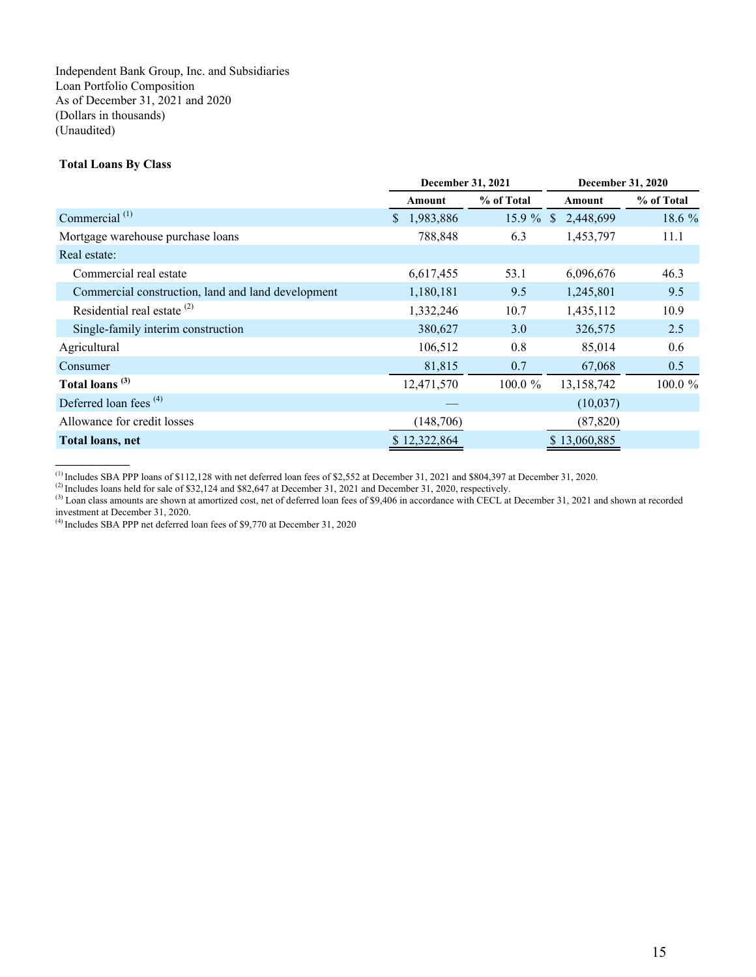Independent Bank Group, Inc. and Subsidiaries Loan Portfolio Composition As of December 31, 2021 and 2020 (Dollars in thousands) (Unaudited)

## **Total Loans By Class**

|                                                    | December 31, 2021         |            | December 31, 2020         |            |  |
|----------------------------------------------------|---------------------------|------------|---------------------------|------------|--|
|                                                    | Amount                    | % of Total | Amount                    | % of Total |  |
| Commercial <sup>(1)</sup>                          | 1,983,886<br><sup>S</sup> | $15.9 \%$  | 2,448,699<br><sup>S</sup> | 18.6 %     |  |
| Mortgage warehouse purchase loans                  | 788,848                   | 6.3        | 1,453,797                 | 11.1       |  |
| Real estate:                                       |                           |            |                           |            |  |
| Commercial real estate                             | 6,617,455                 | 53.1       | 6,096,676                 | 46.3       |  |
| Commercial construction, land and land development | 1,180,181                 | 9.5        | 1,245,801                 | 9.5        |  |
| Residential real estate <sup>(2)</sup>             | 1,332,246                 | 10.7       | 1,435,112                 | 10.9       |  |
| Single-family interim construction                 | 380,627                   | 3.0        | 326,575                   | 2.5        |  |
| Agricultural                                       | 106,512                   | 0.8        | 85,014                    | 0.6        |  |
| Consumer                                           | 81,815                    | 0.7        | 67,068                    | 0.5        |  |
| Total loans <sup>(3)</sup>                         | 12,471,570                | 100.0 %    | 13,158,742                | 100.0 %    |  |
| Deferred loan fees $(4)$                           |                           |            | (10,037)                  |            |  |
| Allowance for credit losses                        | (148,706)                 |            | (87, 820)                 |            |  |
| Total loans, net                                   | \$12,322,864              |            | \$13,060,885              |            |  |

 $^{(1)}$  Includes SBA PPP loans of \$112,128 with net deferred loan fees of \$2,552 at December 31, 2021 and \$804,397 at December 31, 2020.

(4) Includes SBA PPP net deferred loan fees of \$9,770 at December 31, 2020

<sup>(2)</sup> Includes loans held for sale of \$32,124 and \$82,647 at December 31, 2021 and December 31, 2020, respectively.

<sup>(3)</sup> Loan class amounts are shown at amortized cost, net of deferred loan fees of \$9,406 in accordance with CECL at December 31, 2021 and shown at recorded investment at December 31, 2020.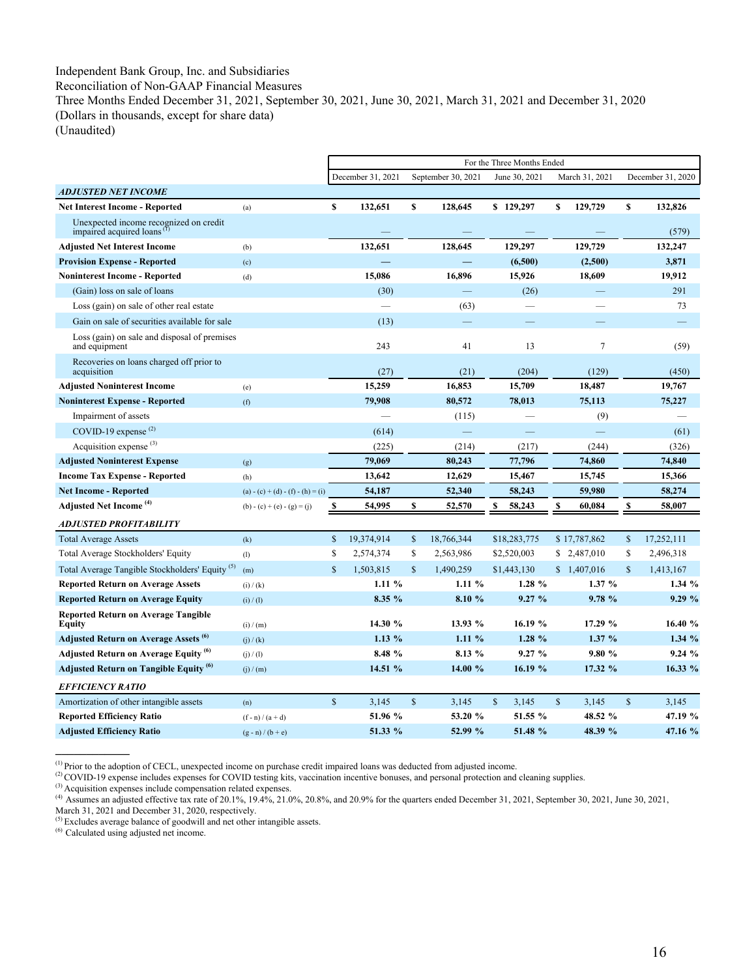## Independent Bank Group, Inc. and Subsidiaries

Reconciliation of Non-GAAP Financial Measures

Three Months Ended December 31, 2021, September 30, 2021, June 30, 2021, March 31, 2021 and December 31, 2020 (Dollars in thousands, except for share data)

(Unaudited)

|                                                                                  |                                   |              |                   |              |                    | For the Three Months Ended |              |                |              |                   |
|----------------------------------------------------------------------------------|-----------------------------------|--------------|-------------------|--------------|--------------------|----------------------------|--------------|----------------|--------------|-------------------|
|                                                                                  |                                   |              | December 31, 2021 |              | September 30, 2021 | June 30, 2021              |              | March 31, 2021 |              | December 31, 2020 |
| <b>ADJUSTED NET INCOME</b>                                                       |                                   |              |                   |              |                    |                            |              |                |              |                   |
| <b>Net Interest Income - Reported</b>                                            | (a)                               | $\mathbf{s}$ | 132,651           | $\mathbf s$  | 128,645            | \$129,297                  | \$           | 129,729        | \$           | 132,826           |
| Unexpected income recognized on credit<br>impaired acquired loans <sup>(f)</sup> |                                   |              |                   |              |                    |                            |              |                |              | (579)             |
| <b>Adjusted Net Interest Income</b>                                              | (b)                               |              | 132,651           |              | 128,645            | 129,297                    |              | 129,729        |              | 132,247           |
| <b>Provision Expense - Reported</b>                                              | (c)                               |              |                   |              |                    | (6,500)                    |              | (2,500)        |              | 3,871             |
| <b>Noninterest Income - Reported</b>                                             | (d)                               |              | 15,086            |              | 16,896             | 15,926                     |              | 18,609         |              | 19,912            |
| (Gain) loss on sale of loans                                                     |                                   |              | (30)              |              |                    | (26)                       |              |                |              | 291               |
| Loss (gain) on sale of other real estate                                         |                                   |              |                   |              | (63)               |                            |              |                |              | 73                |
| Gain on sale of securities available for sale                                    |                                   |              | (13)              |              |                    |                            |              |                |              |                   |
| Loss (gain) on sale and disposal of premises<br>and equipment                    |                                   |              | 243               |              | 41                 | 13                         |              | $\tau$         |              | (59)              |
| Recoveries on loans charged off prior to<br>acquisition                          |                                   |              | (27)              |              | (21)               | (204)                      |              | (129)          |              | (450)             |
| <b>Adjusted Noninterest Income</b>                                               | (e)                               |              | 15,259            |              | 16,853             | 15,709                     |              | 18,487         |              | 19,767            |
| <b>Noninterest Expense - Reported</b>                                            | (f)                               |              | 79,908            |              | 80,572             | 78,013                     |              | 75,113         |              | 75,227            |
| Impairment of assets                                                             |                                   |              |                   |              | (115)              |                            |              | (9)            |              |                   |
| COVID-19 expense $(2)$                                                           |                                   |              | (614)             |              |                    |                            |              |                |              | (61)              |
| Acquisition expense $(3)$                                                        |                                   |              | (225)             |              | (214)              | (217)                      |              | (244)          |              | (326)             |
| <b>Adjusted Noninterest Expense</b>                                              | (g)                               |              | 79,069            |              | 80,243             | 77,796                     |              | 74,860         |              | 74,840            |
| <b>Income Tax Expense - Reported</b>                                             | (h)                               |              | 13,642            |              | 12,629             | 15,467                     |              | 15,745         |              | 15,366            |
| <b>Net Income - Reported</b>                                                     | (a) - (c) + (d) - (f) - (h) = (i) |              | 54,187            |              | 52,340             | 58,243                     |              | 59,980         |              | 58,274            |
| Adjusted Net Income <sup>(4)</sup>                                               | $(b) - (c) + (e) - (g) = (i)$     | S            | 54,995            | S            | 52,570             | 58,243<br>S                | \$           | 60,084         | \$           | 58,007            |
| <b>ADJUSTED PROFITABILITY</b>                                                    |                                   |              |                   |              |                    |                            |              |                |              |                   |
| <b>Total Average Assets</b>                                                      | (k)                               | $\mathbb{S}$ | 19,374,914        | $\mathbb{S}$ | 18,766,344         | \$18,283,775               |              | \$17,787,862   | $\mathbb{S}$ | 17,252,111        |
| <b>Total Average Stockholders' Equity</b>                                        | (1)                               | \$           | 2,574,374         | \$           | 2,563,986          | \$2,520,003                |              | \$2,487,010    | \$           | 2,496,318         |
| Total Average Tangible Stockholders' Equity <sup>(5)</sup>                       | (m)                               | $\mathbf S$  | 1,503,815         | $\mathbf{s}$ | 1,490,259          | \$1,443,130                |              | \$1,407,016    | $\mathbf S$  | 1,413,167         |
| <b>Reported Return on Average Assets</b>                                         | (i) / (k)                         |              | 1.11%             |              | $1.11\%$           | 1.28 %                     |              | 1.37%          |              | 1.34%             |
| <b>Reported Return on Average Equity</b>                                         | (i) / (1)                         |              | 8.35 %            |              | 8.10 %             | 9.27%                      |              | 9.78%          |              | 9.29%             |
| <b>Reported Return on Average Tangible</b><br><b>Equity</b>                      | (i) / (m)                         |              | 14.30 %           |              | 13.93 %            | 16.19 %                    |              | 17.29 %        |              | 16.40 %           |
| Adjusted Return on Average Assets <sup>(0)</sup>                                 | (i) / (k)                         |              | $1.13\%$          |              | 1.11%              | 1.28%                      |              | 1.37%          |              | 1.34%             |
| <b>Adjusted Return on Average Equity</b> <sup>(6)</sup>                          | (j) / (l)                         |              | 8.48 %            |              | 8.13 %             | 9.27%                      |              | 9.80%          |              | 9.24%             |
| <b>Adjusted Return on Tangible Equity</b> <sup>(6)</sup>                         | (i) / (m)                         |              | 14.51 %           |              | 14.00 %            | 16.19 %                    |              | 17.32 %        |              | 16.33 %           |
| <b>EFFICIENCY RATIO</b>                                                          |                                   |              |                   |              |                    |                            |              |                |              |                   |
| Amortization of other intangible assets                                          | (n)                               | $\mathbf S$  | 3,145             | $\mathbf S$  | 3,145              | $\mathbb{S}$<br>3,145      | $\mathbb{S}$ | 3,145          | $\mathbf{s}$ | 3,145             |
| <b>Reported Efficiency Ratio</b>                                                 | $(f - n) / (a + d)$               |              | 51.96 %           |              | 53.20 %            | 51.55 %                    |              | 48.52 %        |              | 47.19 %           |
| <b>Adjusted Efficiency Ratio</b>                                                 | $(g - n) / (b + e)$               |              | 51.33 %           |              | 52.99 %            | 51.48 %                    |              | 48.39 %        |              | 47.16 %           |

(1) Prior to the adoption of CECL, unexpected income on purchase credit impaired loans was deducted from adjusted income.

(3) Acquisition expenses include compensation related expenses.

(6) Calculated using adjusted net income.

<sup>&</sup>lt;sup>(2)</sup> COVID-19 expense includes expenses for COVID testing kits, vaccination incentive bonuses, and personal protection and cleaning supplies.

Assumes an adjusted effective tax rate of 20.1%, 19.4%, 21.0%, 20.8%, and 20.9% for the quarters ended December 31, 2021, September 30, 2021, June 30, 2021,  $\frac{1}{100}$ 

March 31, 2021 and December 31, 2020, respectively.<br><sup>(5)</sup> Excludes average balance of goodwill and net other intangible assets.